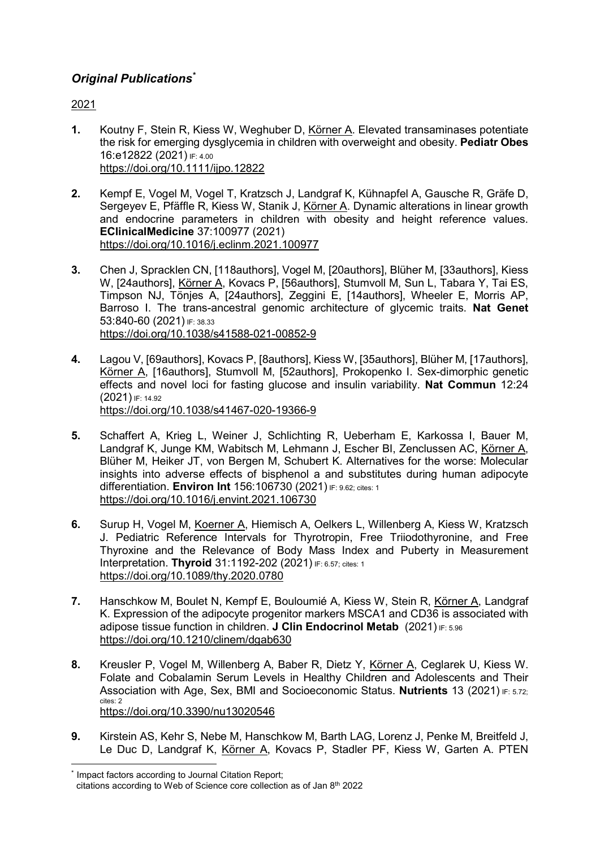# **Original Publications\***

2021

 $\overline{a}$ 

- 1. Koutny F, Stein R, Kiess W, Weghuber D, Körner A. Elevated transaminases potentiate the risk for emerging dysglycemia in children with overweight and obesity. Pediatr Obes 16:e12822 (2021) IF: 4.00 https://doi.org/10.1111/ijpo.12822
- 2. Kempf E, Vogel M, Vogel T, Kratzsch J, Landgraf K, Kühnapfel A, Gausche R, Gräfe D, Sergeyev E, Pfäffle R, Kiess W, Stanik J, Körner A. Dynamic alterations in linear growth and endocrine parameters in children with obesity and height reference values. EClinicalMedicine 37:100977 (2021) https://doi.org/10.1016/j.eclinm.2021.100977
- 3. Chen J, Spracklen CN, [118authors], Vogel M, [20authors], Blüher M, [33authors], Kiess W, [24authors], Körner A, Kovacs P, [56authors], Stumvoll M, Sun L, Tabara Y, Tai ES, Timpson NJ, Tönjes A, [24authors], Zeggini E, [14authors], Wheeler E, Morris AP, Barroso I. The trans-ancestral genomic architecture of glycemic traits. Nat Genet 53:840-60 (2021) IF: 38.33 https://doi.org/10.1038/s41588-021-00852-9
- 4. Lagou V, [69authors], Kovacs P, [8authors], Kiess W, [35authors], Blüher M, [17authors], Körner A, [16authors], Stumvoll M, [52authors], Prokopenko I. Sex-dimorphic genetic effects and novel loci for fasting glucose and insulin variability. Nat Commun 12:24 (2021) IF: 14.92 https://doi.org/10.1038/s41467-020-19366-9
- 5. Schaffert A, Krieg L, Weiner J, Schlichting R, Ueberham E, Karkossa I, Bauer M, Landgraf K, Junge KM, Wabitsch M, Lehmann J, Escher BI, Zenclussen AC, Körner A, Blüher M, Heiker JT, von Bergen M, Schubert K. Alternatives for the worse: Molecular insights into adverse effects of bisphenol a and substitutes during human adipocyte differentiation. Environ Int 156:106730 (2021) IF: 9.62; cites: 1 https://doi.org/10.1016/j.envint.2021.106730
- 6. Surup H, Vogel M, Koerner A, Hiemisch A, Oelkers L, Willenberg A, Kiess W, Kratzsch J. Pediatric Reference Intervals for Thyrotropin, Free Triiodothyronine, and Free Thyroxine and the Relevance of Body Mass Index and Puberty in Measurement Interpretation. Thyroid 31:1192-202 (2021) IF: 6.57; cites: 1 https://doi.org/10.1089/thy.2020.0780
- 7. Hanschkow M, Boulet N, Kempf E, Bouloumié A, Kiess W, Stein R, Körner A, Landgraf K. Expression of the adipocyte progenitor markers MSCA1 and CD36 is associated with adipose tissue function in children. J Clin Endocrinol Metab (2021) IF: 5.96 https://doi.org/10.1210/clinem/dgab630
- 8. Kreusler P, Vogel M, Willenberg A, Baber R, Dietz Y, Körner A, Ceglarek U, Kiess W. Folate and Cobalamin Serum Levels in Healthy Children and Adolescents and Their Association with Age, Sex, BMI and Socioeconomic Status. Nutrients 13 (2021) IF: 5.72; cites: 2 https://doi.org/10.3390/nu13020546
- 9. Kirstein AS, Kehr S, Nebe M, Hanschkow M, Barth LAG, Lorenz J, Penke M, Breitfeld J, Le Duc D, Landgraf K, Körner A, Kovacs P, Stadler PF, Kiess W, Garten A. PTEN

<sup>\*</sup> Impact factors according to Journal Citation Report; citations according to Web of Science core collection as of Jan 8th 2022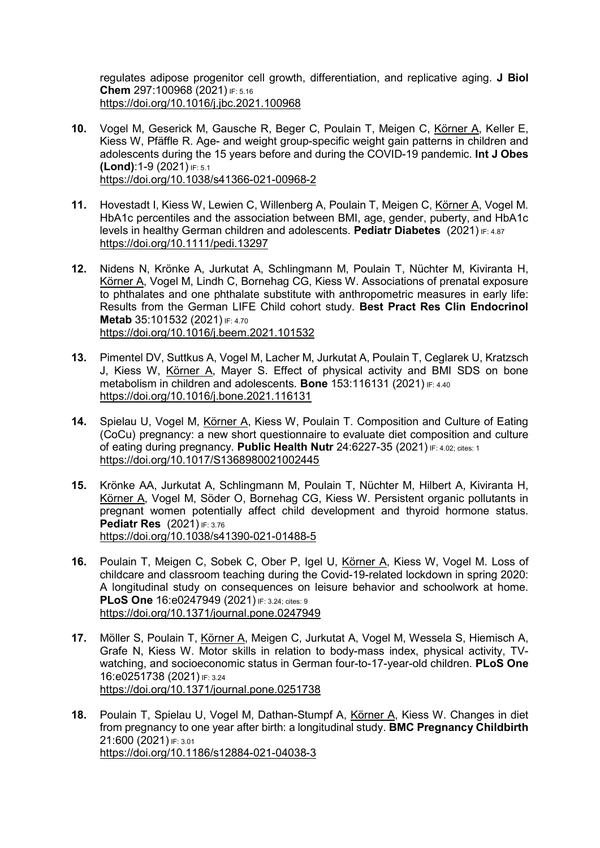regulates adipose progenitor cell growth, differentiation, and replicative aging. J Biol Chem 297:100968 (2021) IF: 5.16 https://doi.org/10.1016/j.jbc.2021.100968

- 10. Vogel M, Geserick M, Gausche R, Beger C, Poulain T, Meigen C, Körner A, Keller E, Kiess W, Pfäffle R. Age- and weight group-specific weight gain patterns in children and adolescents during the 15 years before and during the COVID-19 pandemic. Int J Obes (Lond):1-9 (2021) IF: 5.1 https://doi.org/10.1038/s41366-021-00968-2
- 11. Hovestadt I, Kiess W, Lewien C, Willenberg A, Poulain T, Meigen C, Körner A, Vogel M. HbA1c percentiles and the association between BMI, age, gender, puberty, and HbA1c levels in healthy German children and adolescents. Pediatr Diabetes (2021) IF: 4.87 https://doi.org/10.1111/pedi.13297
- 12. Nidens N, Krönke A, Jurkutat A, Schlingmann M, Poulain T, Nüchter M, Kiviranta H, Körner A, Vogel M, Lindh C, Bornehag CG, Kiess W. Associations of prenatal exposure to phthalates and one phthalate substitute with anthropometric measures in early life: Results from the German LIFE Child cohort study. Best Pract Res Clin Endocrinol Metab 35:101532 (2021) IF: 4.70 https://doi.org/10.1016/j.beem.2021.101532
- 13. Pimentel DV, Suttkus A, Vogel M, Lacher M, Jurkutat A, Poulain T, Ceglarek U, Kratzsch J, Kiess W, Körner A, Mayer S. Effect of physical activity and BMI SDS on bone metabolism in children and adolescents. Bone 153:116131 (2021) IF: 4.40 https://doi.org/10.1016/j.bone.2021.116131
- 14. Spielau U, Vogel M, Körner A, Kiess W, Poulain T. Composition and Culture of Eating (CoCu) pregnancy: a new short questionnaire to evaluate diet composition and culture of eating during pregnancy. Public Health Nutr 24:6227-35 (2021) IF: 4.02; cites: 1 https://doi.org/10.1017/S1368980021002445
- 15. Krönke AA, Jurkutat A, Schlingmann M, Poulain T, Nüchter M, Hilbert A, Kiviranta H, Körner A, Vogel M, Söder O, Bornehag CG, Kiess W. Persistent organic pollutants in pregnant women potentially affect child development and thyroid hormone status. **Pediatr Res** (2021) **IF: 3.76** https://doi.org/10.1038/s41390-021-01488-5
- 16. Poulain T, Meigen C, Sobek C, Ober P, Igel U, Körner A, Kiess W, Vogel M. Loss of childcare and classroom teaching during the Covid-19-related lockdown in spring 2020: A longitudinal study on consequences on leisure behavior and schoolwork at home. PLoS One 16:e0247949 (2021) IF: 3.24; cites: 9 https://doi.org/10.1371/journal.pone.0247949
- 17. Möller S, Poulain T, Körner A, Meigen C, Jurkutat A, Vogel M, Wessela S, Hiemisch A, Grafe N, Kiess W. Motor skills in relation to body-mass index, physical activity, TVwatching, and socioeconomic status in German four-to-17-year-old children. PLoS One 16:e0251738 (2021) IF: 3.24 https://doi.org/10.1371/journal.pone.0251738
- 18. Poulain T, Spielau U, Vogel M, Dathan-Stumpf A, Körner A, Kiess W. Changes in diet from pregnancy to one year after birth: a longitudinal study. **BMC Pregnancy Childbirth** 21:600 (2021) IF: 3.01 https://doi.org/10.1186/s12884-021-04038-3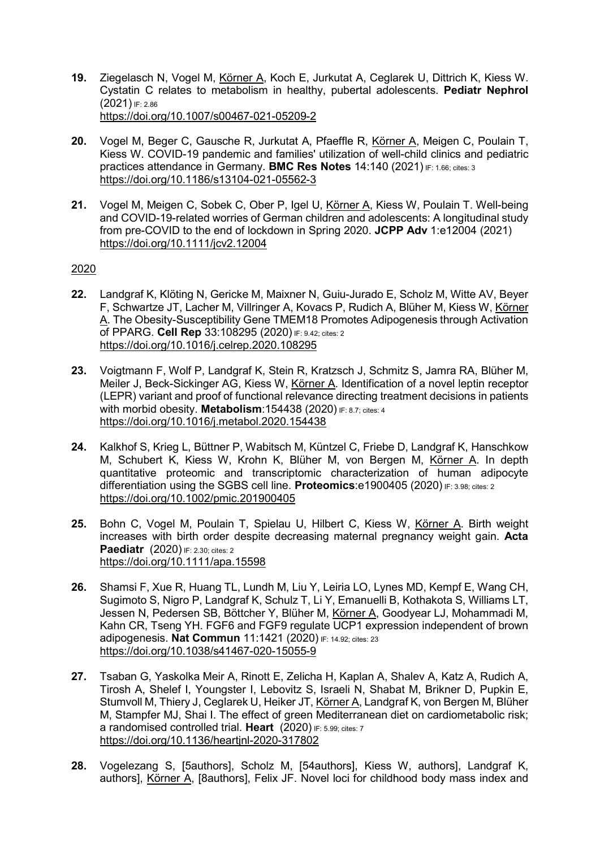- 19. Ziegelasch N, Vogel M, Körner A, Koch E, Jurkutat A, Ceglarek U, Dittrich K, Kiess W. Cystatin C relates to metabolism in healthy, pubertal adolescents. Pediatr Nephrol (2021) IF: 2.86 https://doi.org/10.1007/s00467-021-05209-2
- 20. Vogel M, Beger C, Gausche R, Jurkutat A, Pfaeffle R, Körner A, Meigen C, Poulain T, Kiess W. COVID-19 pandemic and families' utilization of well-child clinics and pediatric practices attendance in Germany. BMC Res Notes 14:140 (2021) IF: 1.66; cites: 3 https://doi.org/10.1186/s13104-021-05562-3
- 21. Vogel M, Meigen C, Sobek C, Ober P, Igel U, Körner A, Kiess W, Poulain T. Well-being and COVID-19-related worries of German children and adolescents: A longitudinal study from pre-COVID to the end of lockdown in Spring 2020. JCPP Adv 1:e12004 (2021) https://doi.org/10.1111/jcv2.12004

- 22. Landgraf K, Klöting N, Gericke M, Maixner N, Guiu-Jurado E, Scholz M, Witte AV, Beyer F, Schwartze JT, Lacher M, Villringer A, Kovacs P, Rudich A, Blüher M, Kiess W, Körner A. The Obesity-Susceptibility Gene TMEM18 Promotes Adipogenesis through Activation of PPARG. Cell Rep 33:108295 (2020) IF: 9.42; cites: 2 https://doi.org/10.1016/j.celrep.2020.108295
- 23. Voigtmann F, Wolf P, Landgraf K, Stein R, Kratzsch J, Schmitz S, Jamra RA, Blüher M, Meiler J, Beck-Sickinger AG, Kiess W, Körner A. Identification of a novel leptin receptor (LEPR) variant and proof of functional relevance directing treatment decisions in patients with morbid obesity. Metabolism: 154438 (2020) IF: 8.7; cites: 4 https://doi.org/10.1016/j.metabol.2020.154438
- 24. Kalkhof S, Krieg L, Büttner P, Wabitsch M, Küntzel C, Friebe D, Landgraf K, Hanschkow M, Schubert K, Kiess W, Krohn K, Blüher M, von Bergen M, Körner A. In depth quantitative proteomic and transcriptomic characterization of human adipocyte differentiation using the SGBS cell line. Proteomics:e1900405 (2020) IF: 3.98; cites: 2 https://doi.org/10.1002/pmic.201900405
- 25. Bohn C, Vogel M, Poulain T, Spielau U, Hilbert C, Kiess W, Körner A. Birth weight increases with birth order despite decreasing maternal pregnancy weight gain. Acta **Paediatr** (2020) **IF: 2.30; cites: 2** https://doi.org/10.1111/apa.15598
- 26. Shamsi F, Xue R, Huang TL, Lundh M, Liu Y, Leiria LO, Lynes MD, Kempf E, Wang CH, Sugimoto S, Nigro P, Landgraf K, Schulz T, Li Y, Emanuelli B, Kothakota S, Williams LT, Jessen N, Pedersen SB, Böttcher Y, Blüher M, Körner A, Goodyear LJ, Mohammadi M, Kahn CR, Tseng YH. FGF6 and FGF9 regulate UCP1 expression independent of brown adipogenesis. Nat Commun 11:1421 (2020) IF: 14.92; cites: 23 https://doi.org/10.1038/s41467-020-15055-9
- 27. Tsaban G, Yaskolka Meir A, Rinott E, Zelicha H, Kaplan A, Shalev A, Katz A, Rudich A, Tirosh A, Shelef I, Youngster I, Lebovitz S, Israeli N, Shabat M, Brikner D, Pupkin E, Stumvoll M, Thiery J, Ceglarek U, Heiker JT, Körner A, Landgraf K, von Bergen M, Blüher M, Stampfer MJ, Shai I. The effect of green Mediterranean diet on cardiometabolic risk; a randomised controlled trial. Heart (2020) IF: 5.99; cites: 7 https://doi.org/10.1136/heartjnl-2020-317802
- 28. Vogelezang S, [5authors], Scholz M, [54authors], Kiess W, authors], Landgraf K, authors], Körner A, [8authors], Felix JF. Novel loci for childhood body mass index and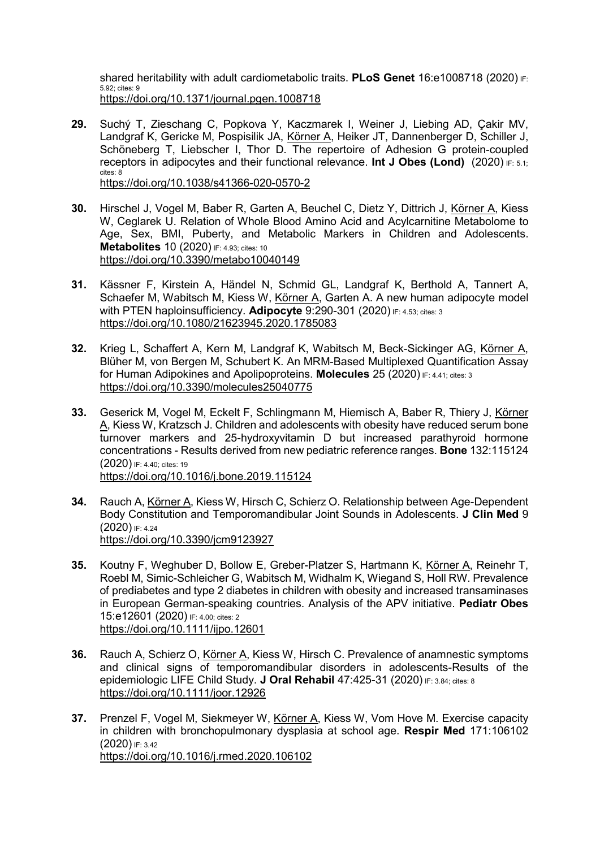shared heritability with adult cardiometabolic traits. PLoS Genet 16:e1008718 (2020) IF: 5.92; cites: 9 https://doi.org/10.1371/journal.pgen.1008718

- 29. Suchý T, Zieschang C, Popkova Y, Kaczmarek I, Weiner J, Liebing AD, Çakir MV, Landgraf K, Gericke M, Pospisilik JA, Körner A, Heiker JT, Dannenberger D, Schiller J, Schöneberg T, Liebscher I, Thor D. The repertoire of Adhesion G protein-coupled receptors in adipocytes and their functional relevance. Int J Obes (Lond) (2020)  $F: 5.1$ ; cites: 8 https://doi.org/10.1038/s41366-020-0570-2
- 30. Hirschel J, Vogel M, Baber R, Garten A, Beuchel C, Dietz Y, Dittrich J, Körner A, Kiess W, Ceglarek U. Relation of Whole Blood Amino Acid and Acylcarnitine Metabolome to Age, Sex, BMI, Puberty, and Metabolic Markers in Children and Adolescents. **Metabolites 10 (2020) IF: 4.93; cites: 10** https://doi.org/10.3390/metabo10040149
- 31. Kässner F, Kirstein A, Händel N, Schmid GL, Landgraf K, Berthold A, Tannert A, Schaefer M, Wabitsch M, Kiess W, Körner A, Garten A. A new human adipocyte model with PTEN haploinsufficiency. Adipocyte  $9:290-301$  (2020) IF: 4.53; cites: 3 https://doi.org/10.1080/21623945.2020.1785083
- 32. Krieg L, Schaffert A, Kern M, Landgraf K, Wabitsch M, Beck-Sickinger AG, Körner A, Blüher M, von Bergen M, Schubert K. An MRM-Based Multiplexed Quantification Assay for Human Adipokines and Apolipoproteins. **Molecules** 25 (2020) IF: 4.41; cites: 3 https://doi.org/10.3390/molecules25040775
- 33. Geserick M, Vogel M, Eckelt F, Schlingmann M, Hiemisch A, Baber R, Thiery J, Körner A, Kiess W, Kratzsch J. Children and adolescents with obesity have reduced serum bone turnover markers and 25-hydroxyvitamin D but increased parathyroid hormone concentrations - Results derived from new pediatric reference ranges. Bone 132:115124 (2020) IF: 4.40; cites: 19 https://doi.org/10.1016/j.bone.2019.115124
- 34. Rauch A, Körner A, Kiess W, Hirsch C, Schierz O. Relationship between Age-Dependent Body Constitution and Temporomandibular Joint Sounds in Adolescents. J Clin Med 9  $(2020)$  IF: 4.24 https://doi.org/10.3390/jcm9123927
- 35. Koutny F, Weghuber D, Bollow E, Greber-Platzer S, Hartmann K, Körner A, Reinehr T, Roebl M, Simic-Schleicher G, Wabitsch M, Widhalm K, Wiegand S, Holl RW. Prevalence of prediabetes and type 2 diabetes in children with obesity and increased transaminases in European German-speaking countries. Analysis of the APV initiative. Pediatr Obes 15:e12601 (2020) IF: 4.00; cites: 2 https://doi.org/10.1111/ijpo.12601
- 36. Rauch A, Schierz O, Körner A, Kiess W, Hirsch C. Prevalence of anamnestic symptoms and clinical signs of temporomandibular disorders in adolescents-Results of the epidemiologic LIFE Child Study. J Oral Rehabil 47:425-31 (2020) IF: 3.84; cites: 8 https://doi.org/10.1111/joor.12926
- 37. Prenzel F, Vogel M, Siekmeyer W, Körner A, Kiess W, Vom Hove M. Exercise capacity in children with bronchopulmonary dysplasia at school age. Respir Med 171:106102 (2020) IF: 3.42 https://doi.org/10.1016/j.rmed.2020.106102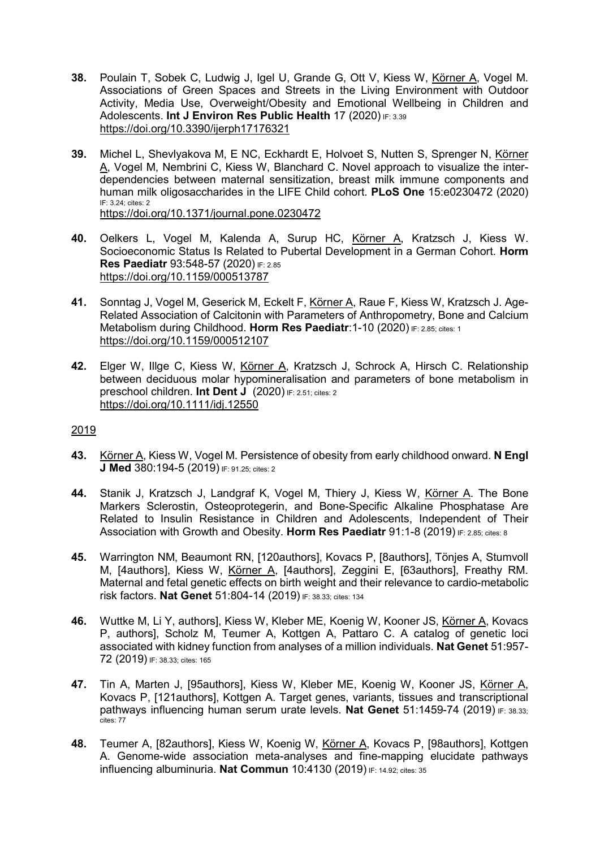- 38. Poulain T, Sobek C, Ludwig J, Igel U, Grande G, Ott V, Kiess W, Körner A, Vogel M. Associations of Green Spaces and Streets in the Living Environment with Outdoor Activity, Media Use, Overweight/Obesity and Emotional Wellbeing in Children and Adolescents. Int J Environ Res Public Health 17 (2020) IF: 3.39 https://doi.org/10.3390/ijerph17176321
- 39. Michel L, Shevlyakova M, E NC, Eckhardt E, Holvoet S, Nutten S, Sprenger N, Körner A, Vogel M, Nembrini C, Kiess W, Blanchard C. Novel approach to visualize the interdependencies between maternal sensitization, breast milk immune components and human milk oligosaccharides in the LIFE Child cohort. **PLoS One** 15:e0230472 (2020) IF: 3.24; cites: 2 https://doi.org/10.1371/journal.pone.0230472
- 40. Oelkers L, Vogel M, Kalenda A, Surup HC, Körner A, Kratzsch J, Kiess W. Socioeconomic Status Is Related to Pubertal Development in a German Cohort. Horm Res Paediatr 93:548-57 (2020) IF: 2.85 https://doi.org/10.1159/000513787
- 41. Sonntag J, Vogel M, Geserick M, Eckelt F, Körner A, Raue F, Kiess W, Kratzsch J. Age-Related Association of Calcitonin with Parameters of Anthropometry, Bone and Calcium Metabolism during Childhood. Horm Res Paediatr: 1-10 (2020) IF: 2.85; cites: 1 https://doi.org/10.1159/000512107
- 42. Elger W, Illge C, Kiess W, Körner A, Kratzsch J, Schrock A, Hirsch C. Relationship between deciduous molar hypomineralisation and parameters of bone metabolism in preschool children. Int Dent J (2020) IF: 2.51; cites: 2 https://doi.org/10.1111/idj.12550

- 43. Körner A, Kiess W, Vogel M. Persistence of obesity from early childhood onward. N Engl J Med 380:194-5 (2019) IF: 91.25; cites: 2
- 44. Stanik J, Kratzsch J, Landgraf K, Vogel M, Thiery J, Kiess W, Körner A. The Bone Markers Sclerostin, Osteoprotegerin, and Bone-Specific Alkaline Phosphatase Are Related to Insulin Resistance in Children and Adolescents, Independent of Their Association with Growth and Obesity. Horm Res Paediatr 91:1-8 (2019) IF: 2.85; cites: 8
- 45. Warrington NM, Beaumont RN, [120authors], Kovacs P, [8authors], Tönjes A, Stumvoll M, [4authors], Kiess W, Körner A, [4authors], Zeggini E, [63authors], Freathy RM. Maternal and fetal genetic effects on birth weight and their relevance to cardio-metabolic risk factors. Nat Genet 51:804-14 (2019) IF: 38.33; cites: 134
- 46. Wuttke M, Li Y, authors], Kiess W, Kleber ME, Koenig W, Kooner JS, Körner A, Kovacs P, authors], Scholz M, Teumer A, Kottgen A, Pattaro C, A catalog of genetic loci associated with kidney function from analyses of a million individuals. Nat Genet 51:957- 72 (2019) IF: 38.33; cites: 165
- 47. Tin A, Marten J, [95authors], Kiess W, Kleber ME, Koenig W, Kooner JS, Körner A, Kovacs P, [121authors], Kottgen A. Target genes, variants, tissues and transcriptional pathways influencing human serum urate levels. Nat Genet 51:1459-74 (2019) IF: 38.33; .<br>cites: 77
- 48. Teumer A, [82authors], Kiess W, Koenig W, Körner A, Kovacs P, [98authors], Kottgen A. Genome-wide association meta-analyses and fine-mapping elucidate pathways influencing albuminuria. Nat Commun 10:4130 (2019) IF: 14.92; cites: 35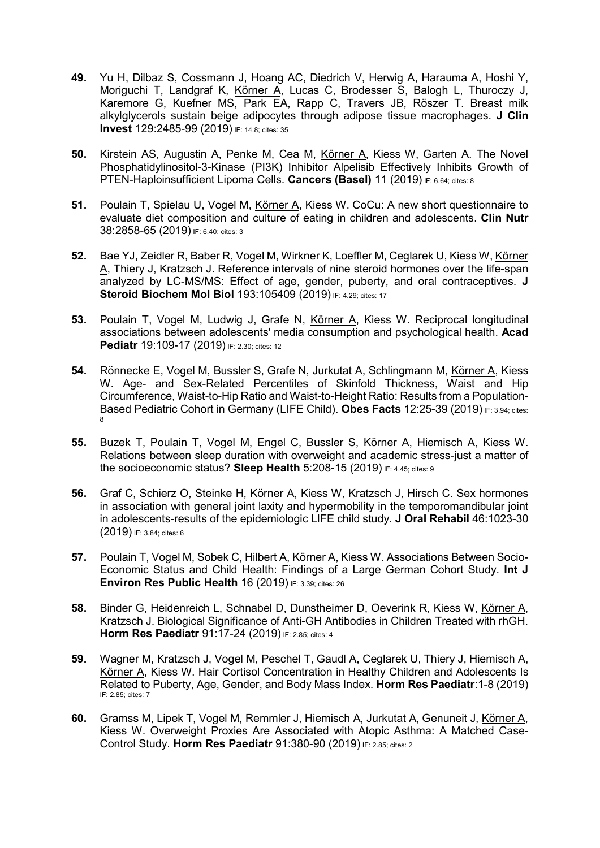- 49. Yu H, Dilbaz S, Cossmann J, Hoang AC, Diedrich V, Herwig A, Harauma A, Hoshi Y, Moriguchi T, Landgraf K, Körner A, Lucas C, Brodesser S, Balogh L, Thuroczy J, Karemore G, Kuefner MS, Park EA, Rapp C, Travers JB, Röszer T. Breast milk alkylglycerols sustain beige adipocytes through adipose tissue macrophages. J Clin Invest 129:2485-99 (2019) IF: 14.8; cites: 35
- 50. Kirstein AS, Augustin A, Penke M, Cea M, Körner A, Kiess W, Garten A. The Novel Phosphatidylinositol-3-Kinase (PI3K) Inhibitor Alpelisib Effectively Inhibits Growth of PTEN-Haploinsufficient Lipoma Cells. Cancers (Basel) 11 (2019) IF: 6.64; cites: 8
- 51. Poulain T, Spielau U, Vogel M, Körner A, Kiess W. CoCu: A new short questionnaire to evaluate diet composition and culture of eating in children and adolescents. Clin Nutr 38:2858-65 (2019) IF: 6.40; cites: 3
- 52. Bae YJ, Zeidler R, Baber R, Vogel M, Wirkner K, Loeffler M, Ceglarek U, Kiess W, Körner A, Thiery J, Kratzsch J. Reference intervals of nine steroid hormones over the life-span analyzed by LC-MS/MS: Effect of age, gender, puberty, and oral contraceptives. J Steroid Biochem Mol Biol 193:105409 (2019) IF: 4.29; cites: 17
- 53. Poulain T, Vogel M, Ludwig J, Grafe N, Körner A, Kiess W. Reciprocal longitudinal associations between adolescents' media consumption and psychological health. Acad Pediatr 19:109-17 (2019) IF: 2.30; cites: 12
- 54. Rönnecke E, Vogel M, Bussler S, Grafe N, Jurkutat A, Schlingmann M, Körner A, Kiess W. Age- and Sex-Related Percentiles of Skinfold Thickness, Waist and Hip Circumference, Waist-to-Hip Ratio and Waist-to-Height Ratio: Results from a Population-Based Pediatric Cohort in Germany (LIFE Child). Obes Facts 12:25-39 (2019) IF: 3.94; cites: 8
- 55. Buzek T, Poulain T, Vogel M, Engel C, Bussler S, Körner A, Hiemisch A, Kiess W. Relations between sleep duration with overweight and academic stress-just a matter of the socioeconomic status? Sleep Health 5:208-15 (2019) IF: 4.45; cites: 9
- 56. Graf C, Schierz O, Steinke H, Körner A, Kiess W, Kratzsch J, Hirsch C. Sex hormones in association with general joint laxity and hypermobility in the temporomandibular joint in adolescents-results of the epidemiologic LIFE child study. J Oral Rehabil 46:1023-30 (2019) IF: 3.84; cites: 6
- 57. Poulain T, Vogel M, Sobek C, Hilbert A, Körner A, Kiess W. Associations Between Socio-Economic Status and Child Health: Findings of a Large German Cohort Study. Int J Environ Res Public Health 16 (2019) IF: 3.39; cites: 26
- 58. Binder G, Heidenreich L, Schnabel D, Dunstheimer D, Oeverink R, Kiess W, Körner A, Kratzsch J. Biological Significance of Anti-GH Antibodies in Children Treated with rhGH. **Horm Res Paediatr 91:17-24 (2019) IF: 2.85; cites: 4**
- 59. Wagner M, Kratzsch J, Vogel M, Peschel T, Gaudl A, Ceglarek U, Thiery J, Hiemisch A, Körner A, Kiess W. Hair Cortisol Concentration in Healthy Children and Adolescents Is Related to Puberty, Age, Gender, and Body Mass Index. Horm Res Paediatr:1-8 (2019) IF: 2.85; cites: 7
- 60. Gramss M, Lipek T, Vogel M, Remmler J, Hiemisch A, Jurkutat A, Genuneit J, Körner A, Kiess W. Overweight Proxies Are Associated with Atopic Asthma: A Matched Case-Control Study. Horm Res Paediatr 91:380-90 (2019) IF: 2.85; cites: 2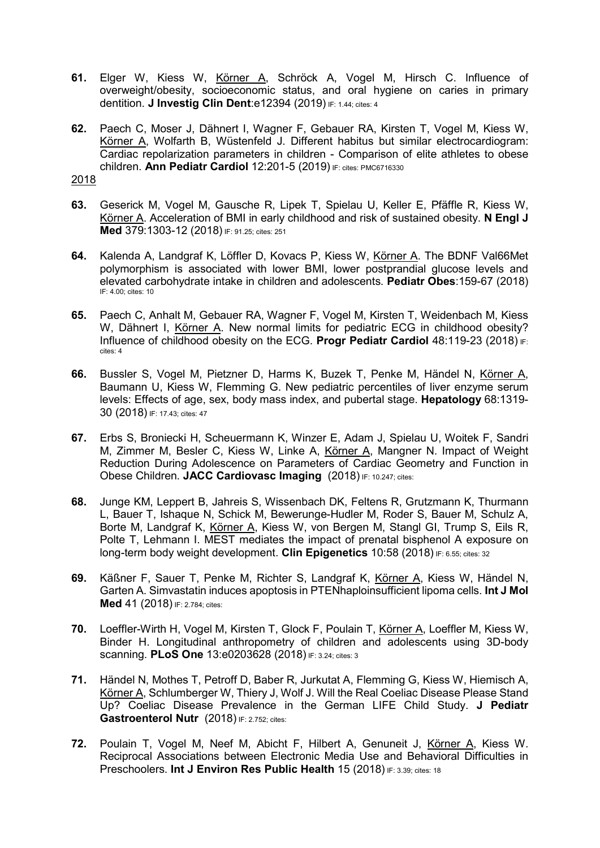- 61. Elger W, Kiess W, Körner A, Schröck A, Vogel M, Hirsch C. Influence of overweight/obesity, socioeconomic status, and oral hygiene on caries in primary dentition. J Investig Clin Dent:e12394 (2019) IF: 1.44; cites: 4
- 62. Paech C, Moser J, Dähnert I, Wagner F, Gebauer RA, Kirsten T, Vogel M, Kiess W, Körner A, Wolfarth B, Wüstenfeld J. Different habitus but similar electrocardiogram: Cardiac repolarization parameters in children - Comparison of elite athletes to obese children. Ann Pediatr Cardiol 12:201-5 (2019) IF: cites: PMC6716330

- 63. Geserick M, Vogel M, Gausche R, Lipek T, Spielau U, Keller E, Pfäffle R, Kiess W, Körner A. Acceleration of BMI in early childhood and risk of sustained obesity. N Engl J Med 379:1303-12 (2018) IF: 91.25; cites: 251
- 64. Kalenda A, Landgraf K, Löffler D, Kovacs P, Kiess W, Körner A. The BDNF Val66Met polymorphism is associated with lower BMI, lower postprandial glucose levels and elevated carbohydrate intake in children and adolescents. Pediatr Obes:159-67 (2018) IF: 4.00; cites: 10
- 65. Paech C, Anhalt M, Gebauer RA, Wagner F, Vogel M, Kirsten T, Weidenbach M, Kiess W, Dähnert I, Körner A. New normal limits for pediatric ECG in childhood obesity? Influence of childhood obesity on the ECG. Progr Pediatr Cardiol  $48:119-23$  (2018) IF: cites: 4
- 66. Bussler S, Vogel M, Pietzner D, Harms K, Buzek T, Penke M, Händel N, Körner A, Baumann U, Kiess W, Flemming G. New pediatric percentiles of liver enzyme serum levels: Effects of age, sex, body mass index, and pubertal stage. Hepatology 68:1319- 30 (2018) IF: 17.43; cites: 47
- 67. Erbs S, Broniecki H, Scheuermann K, Winzer E, Adam J, Spielau U, Woitek F, Sandri M, Zimmer M, Besler C, Kiess W, Linke A, Körner A, Mangner N. Impact of Weight Reduction During Adolescence on Parameters of Cardiac Geometry and Function in Obese Children. JACC Cardiovasc Imaging (2018) IF: 10.247; cites:
- 68. Junge KM, Leppert B, Jahreis S, Wissenbach DK, Feltens R, Grutzmann K, Thurmann L, Bauer T, Ishaque N, Schick M, Bewerunge-Hudler M, Roder S, Bauer M, Schulz A, Borte M, Landgraf K, Körner A, Kiess W, von Bergen M, Stangl GI, Trump S, Eils R, Polte T, Lehmann I. MEST mediates the impact of prenatal bisphenol A exposure on long-term body weight development. Clin Epigenetics 10:58 (2018) IF: 6.55; cites: 32
- 69. Käßner F, Sauer T, Penke M, Richter S, Landgraf K, Körner A, Kiess W, Händel N, Garten A. Simvastatin induces apoptosis in PTENhaploinsufficient lipoma cells. Int J Mol Med 41 (2018) IF: 2.784; cites:
- 70. Loeffler-Wirth H, Vogel M, Kirsten T, Glock F, Poulain T, Körner A, Loeffler M, Kiess W, Binder H. Longitudinal anthropometry of children and adolescents using 3D-body scanning. PLoS One 13:e0203628 (2018) IF: 3.24; cites: 3
- 71. Händel N, Mothes T, Petroff D, Baber R, Jurkutat A, Flemming G, Kiess W, Hiemisch A, Körner A, Schlumberger W, Thiery J, Wolf J. Will the Real Coeliac Disease Please Stand Up? Coeliac Disease Prevalence in the German LIFE Child Study. J Pediatr Gastroenterol Nutr (2018) IF: 2.752; cites:
- 72. Poulain T, Vogel M, Neef M, Abicht F, Hilbert A, Genuneit J, Körner A, Kiess W. Reciprocal Associations between Electronic Media Use and Behavioral Difficulties in Preschoolers. Int J Environ Res Public Health 15 (2018) IF: 3.39; cites: 18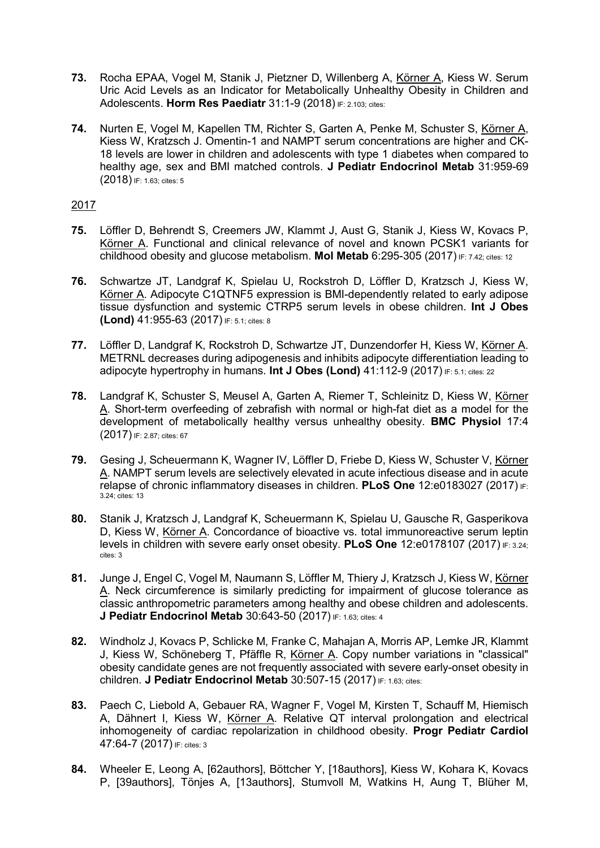- 73. Rocha EPAA, Vogel M, Stanik J, Pietzner D, Willenberg A, Körner A, Kiess W. Serum Uric Acid Levels as an Indicator for Metabolically Unhealthy Obesity in Children and Adolescents. Horm Res Paediatr 31:1-9 (2018) IF: 2.103; cites:
- 74. Nurten E, Vogel M, Kapellen TM, Richter S, Garten A, Penke M, Schuster S, Körner A, Kiess W, Kratzsch J. Omentin-1 and NAMPT serum concentrations are higher and CK-18 levels are lower in children and adolescents with type 1 diabetes when compared to healthy age, sex and BMI matched controls. J Pediatr Endocrinol Metab 31:959-69 (2018) IF: 1.63; cites: 5

- 75. Löffler D, Behrendt S, Creemers JW, Klammt J, Aust G, Stanik J, Kiess W, Kovacs P, Körner A. Functional and clinical relevance of novel and known PCSK1 variants for childhood obesity and glucose metabolism. Mol Metab 6:295-305 (2017) IF: 7.42; cites: 12
- 76. Schwartze JT, Landgraf K, Spielau U, Rockstroh D, Löffler D, Kratzsch J, Kiess W, Körner A. Adipocyte C1QTNF5 expression is BMI-dependently related to early adipose tissue dysfunction and systemic CTRP5 serum levels in obese children. Int J Obes (Lond) 41:955-63 (2017) IF: 5.1; cites: 8
- 77. Löffler D, Landgraf K, Rockstroh D, Schwartze JT, Dunzendorfer H, Kiess W, Körner A. METRNL decreases during adipogenesis and inhibits adipocyte differentiation leading to adipocyte hypertrophy in humans. Int J Obes (Lond) 41:112-9 (2017) IF: 5.1; cites: 22
- 78. Landgraf K, Schuster S, Meusel A, Garten A, Riemer T, Schleinitz D, Kiess W, Körner A. Short-term overfeeding of zebrafish with normal or high-fat diet as a model for the development of metabolically healthy versus unhealthy obesity. BMC Physiol 17:4 (2017) IF: 2.87; cites: 67
- 79. Gesing J, Scheuermann K, Wagner IV, Löffler D, Friebe D, Kiess W, Schuster V, Körner A. NAMPT serum levels are selectively elevated in acute infectious disease and in acute relapse of chronic inflammatory diseases in children. PLoS One 12:e0183027 (2017) IF: 3.24; cites: 13
- 80. Stanik J, Kratzsch J, Landgraf K, Scheuermann K, Spielau U, Gausche R, Gasperikova D, Kiess W, Körner A. Concordance of bioactive vs. total immunoreactive serum leptin levels in children with severe early onset obesity. PLoS One 12:e0178107 (2017) IF: 3.24; cites: 3
- 81. Junge J, Engel C, Vogel M, Naumann S, Löffler M, Thiery J, Kratzsch J, Kiess W, Körner A. Neck circumference is similarly predicting for impairment of glucose tolerance as classic anthropometric parameters among healthy and obese children and adolescents. J Pediatr Endocrinol Metab 30:643-50 (2017) IF: 1.63; cites: 4
- 82. Windholz J, Kovacs P, Schlicke M, Franke C, Mahajan A, Morris AP, Lemke JR, Klammt J, Kiess W, Schöneberg T, Pfäffle R, Körner A. Copy number variations in "classical" obesity candidate genes are not frequently associated with severe early-onset obesity in children. J Pediatr Endocrinol Metab 30:507-15 (2017) IF: 1.63; cites:
- 83. Paech C, Liebold A, Gebauer RA, Wagner F, Vogel M, Kirsten T, Schauff M, Hiemisch A, Dähnert I, Kiess W, Körner A. Relative QT interval prolongation and electrical inhomogeneity of cardiac repolarization in childhood obesity. Progr Pediatr Cardiol 47:64-7 (2017) IF: cites: 3
- 84. Wheeler E, Leong A, [62authors], Böttcher Y, [18authors], Kiess W, Kohara K, Kovacs P, [39authors], Tönjes A, [13authors], Stumvoll M, Watkins H, Aung T, Blüher M,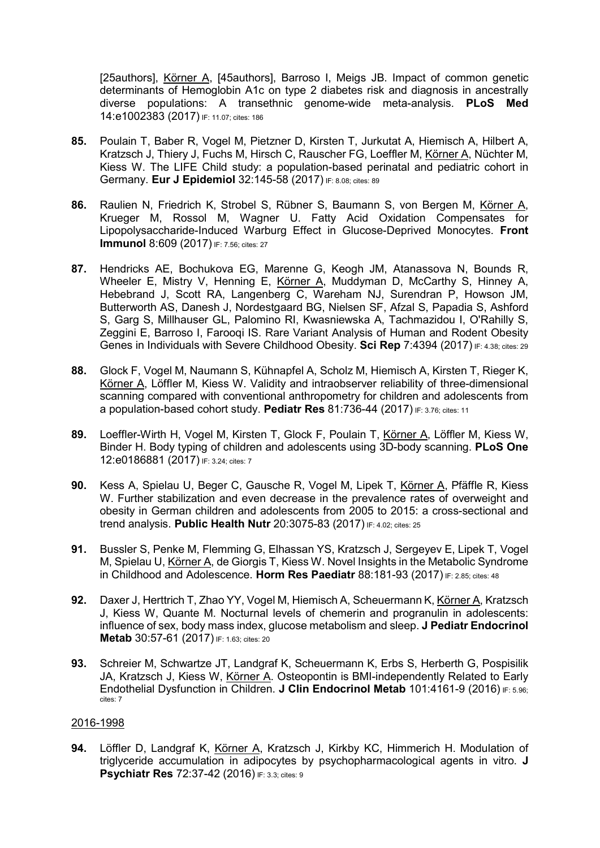[25authors], Körner A, [45authors], Barroso I, Meigs JB. Impact of common genetic determinants of Hemoglobin A1c on type 2 diabetes risk and diagnosis in ancestrally diverse populations: A transethnic genome-wide meta-analysis. PLoS Med 14:e1002383 (2017) IF: 11.07; cites: 186

- 85. Poulain T, Baber R, Vogel M, Pietzner D, Kirsten T, Jurkutat A, Hiemisch A, Hilbert A, Kratzsch J, Thiery J, Fuchs M, Hirsch C, Rauscher FG, Loeffler M, Körner A, Nüchter M, Kiess W. The LIFE Child study: a population-based perinatal and pediatric cohort in Germany. Eur J Epidemiol 32:145-58 (2017) IF: 8.08; cites: 89
- 86. Raulien N, Friedrich K, Strobel S, Rübner S, Baumann S, von Bergen M, Körner A, Krueger M, Rossol M, Wagner U. Fatty Acid Oxidation Compensates for Lipopolysaccharide-Induced Warburg Effect in Glucose-Deprived Monocytes. Front **Immunol** 8:609 (2017) IF: 7.56; cites: 27
- 87. Hendricks AE, Bochukova EG, Marenne G, Keogh JM, Atanassova N, Bounds R, Wheeler E, Mistry V, Henning E, Körner A, Muddyman D, McCarthy S, Hinney A, Hebebrand J, Scott RA, Langenberg C, Wareham NJ, Surendran P, Howson JM, Butterworth AS, Danesh J, Nordestgaard BG, Nielsen SF, Afzal S, Papadia S, Ashford S, Garg S, Millhauser GL, Palomino RI, Kwasniewska A, Tachmazidou I, O'Rahilly S, Zeggini E, Barroso I, Farooqi IS. Rare Variant Analysis of Human and Rodent Obesity Genes in Individuals with Severe Childhood Obesity. Sci Rep 7:4394 (2017) IF: 4.38; cites: 29
- 88. Glock F, Vogel M, Naumann S, Kühnapfel A, Scholz M, Hiemisch A, Kirsten T, Rieger K, Körner A, Löffler M, Kiess W. Validity and intraobserver reliability of three-dimensional scanning compared with conventional anthropometry for children and adolescents from a population-based cohort study. Pediatr Res 81:736-44 (2017) IF: 3.76; cites: 11
- 89. Loeffler-Wirth H, Vogel M, Kirsten T, Glock F, Poulain T, Körner A, Löffler M, Kiess W, Binder H. Body typing of children and adolescents using 3D-body scanning. PLoS One 12:e0186881 (2017) IF: 3.24; cites: 7
- 90. Kess A, Spielau U, Beger C, Gausche R, Vogel M, Lipek T, Körner A, Pfäffle R, Kiess W. Further stabilization and even decrease in the prevalence rates of overweight and obesity in German children and adolescents from 2005 to 2015: a cross-sectional and trend analysis. Public Health Nutr 20:3075-83 (2017) IF: 4.02; cites: 25
- 91. Bussler S, Penke M, Flemming G, Elhassan YS, Kratzsch J, Sergeyev E, Lipek T, Vogel M, Spielau U, Körner A, de Giorgis T, Kiess W. Novel Insights in the Metabolic Syndrome in Childhood and Adolescence. Horm Res Paediatr 88:181-93 (2017) IF: 2.85; cites: 48
- 92. Daxer J, Herttrich T, Zhao YY, Vogel M, Hiemisch A, Scheuermann K, Körner A, Kratzsch J, Kiess W, Quante M. Nocturnal levels of chemerin and progranulin in adolescents: influence of sex, body mass index, glucose metabolism and sleep. J Pediatr Endocrinol Metab 30:57-61 (2017) IF: 1.63; cites: 20
- 93. Schreier M, Schwartze JT, Landgraf K, Scheuermann K, Erbs S, Herberth G, Pospisilik JA, Kratzsch J, Kiess W, Körner A. Osteopontin is BMI-independently Related to Early Endothelial Dysfunction in Children. J Clin Endocrinol Metab 101:4161-9 (2016) IF: 5.96; cites: 7

### 2016-1998

94. Löffler D, Landgraf K, Körner A, Kratzsch J, Kirkby KC, Himmerich H. Modulation of triglyceride accumulation in adipocytes by psychopharmacological agents in vitro. J **Psychiatr Res 72:37-42 (2016) IF: 3.3; cites: 9**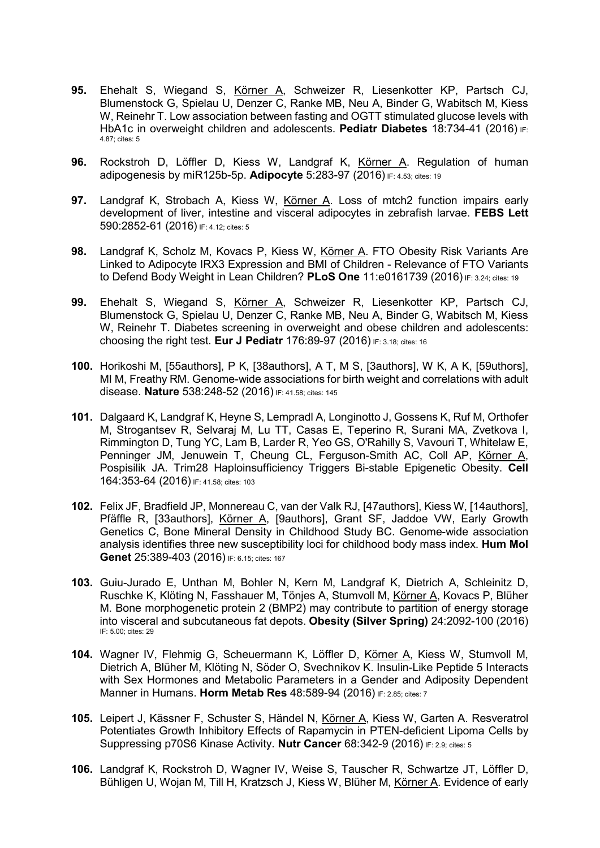- 95. Ehehalt S, Wiegand S, Körner A, Schweizer R, Liesenkotter KP, Partsch CJ, Blumenstock G, Spielau U, Denzer C, Ranke MB, Neu A, Binder G, Wabitsch M, Kiess W, Reinehr T. Low association between fasting and OGTT stimulated glucose levels with HbA1c in overweight children and adolescents. Pediatr Diabetes 18:734-41 (2016)  $_{E}$ : 4.87; cites: 5
- 96. Rockstroh D, Löffler D, Kiess W, Landgraf K, Körner A. Regulation of human adipogenesis by miR125b-5p. Adipocyte 5:283-97 (2016) IF: 4.53; cites: 19
- 97. Landgraf K, Strobach A, Kiess W, Körner A. Loss of mtch2 function impairs early development of liver, intestine and visceral adipocytes in zebrafish larvae. FEBS Lett 590:2852-61 (2016) IF: 4.12; cites: 5
- 98. Landgraf K, Scholz M, Kovacs P, Kiess W, Körner A. FTO Obesity Risk Variants Are Linked to Adipocyte IRX3 Expression and BMI of Children - Relevance of FTO Variants to Defend Body Weight in Lean Children? PLoS One 11:e0161739 (2016) IF: 3.24; cites: 19
- 99. Ehehalt S, Wiegand S, Körner A, Schweizer R, Liesenkotter KP, Partsch CJ, Blumenstock G, Spielau U, Denzer C, Ranke MB, Neu A, Binder G, Wabitsch M, Kiess W, Reinehr T. Diabetes screening in overweight and obese children and adolescents: choosing the right test. Eur J Pediatr 176:89-97 (2016) IF: 3.18; cites: 16
- 100. Horikoshi M, [55authors], P K, [38authors], A T, M S, [3authors], W K, A K, [59uthors], MI M, Freathy RM. Genome-wide associations for birth weight and correlations with adult disease. Nature 538:248-52 (2016) IF: 41.58; cites: 145
- 101. Dalgaard K, Landgraf K, Heyne S, Lempradl A, Longinotto J, Gossens K, Ruf M, Orthofer M, Strogantsev R, Selvaraj M, Lu TT, Casas E, Teperino R, Surani MA, Zvetkova I, Rimmington D, Tung YC, Lam B, Larder R, Yeo GS, O'Rahilly S, Vavouri T, Whitelaw E, Penninger JM, Jenuwein T, Cheung CL, Ferguson-Smith AC, Coll AP, Körner A, Pospisilik JA. Trim28 Haploinsufficiency Triggers Bi-stable Epigenetic Obesity. Cell 164:353-64 (2016) IF: 41.58; cites: 103
- 102. Felix JF, Bradfield JP, Monnereau C, van der Valk RJ, [47authors], Kiess W, [14authors], Pfäffle R, [33authors], Körner A, [9authors], Grant SF, Jaddoe VW, Early Growth Genetics C, Bone Mineral Density in Childhood Study BC. Genome-wide association analysis identifies three new susceptibility loci for childhood body mass index. Hum Mol Genet 25:389-403 (2016) IF: 6.15; cites: 167
- 103. Guiu-Jurado E, Unthan M, Bohler N, Kern M, Landgraf K, Dietrich A, Schleinitz D, Ruschke K, Klöting N, Fasshauer M, Tönjes A, Stumvoll M, Körner A, Kovacs P, Blüher M. Bone morphogenetic protein 2 (BMP2) may contribute to partition of energy storage into visceral and subcutaneous fat depots. Obesity (Silver Spring) 24:2092-100 (2016) IF: 5.00; cites: 29
- 104. Wagner IV, Flehmig G, Scheuermann K, Löffler D, Körner A, Kiess W, Stumvoll M, Dietrich A, Blüher M, Klöting N, Söder O, Svechnikov K. Insulin-Like Peptide 5 Interacts with Sex Hormones and Metabolic Parameters in a Gender and Adiposity Dependent Manner in Humans. Horm Metab Res 48:589-94 (2016) IF: 2.85; cites: 7
- 105. Leipert J, Kässner F, Schuster S, Händel N, Körner A, Kiess W, Garten A. Resveratrol Potentiates Growth Inhibitory Effects of Rapamycin in PTEN-deficient Lipoma Cells by Suppressing p70S6 Kinase Activity. Nutr Cancer 68:342-9 (2016) IF: 2.9; cites: 5
- 106. Landgraf K, Rockstroh D, Wagner IV, Weise S, Tauscher R, Schwartze JT, Löffler D, Bühligen U, Wojan M, Till H, Kratzsch J, Kiess W, Blüher M, Körner A. Evidence of early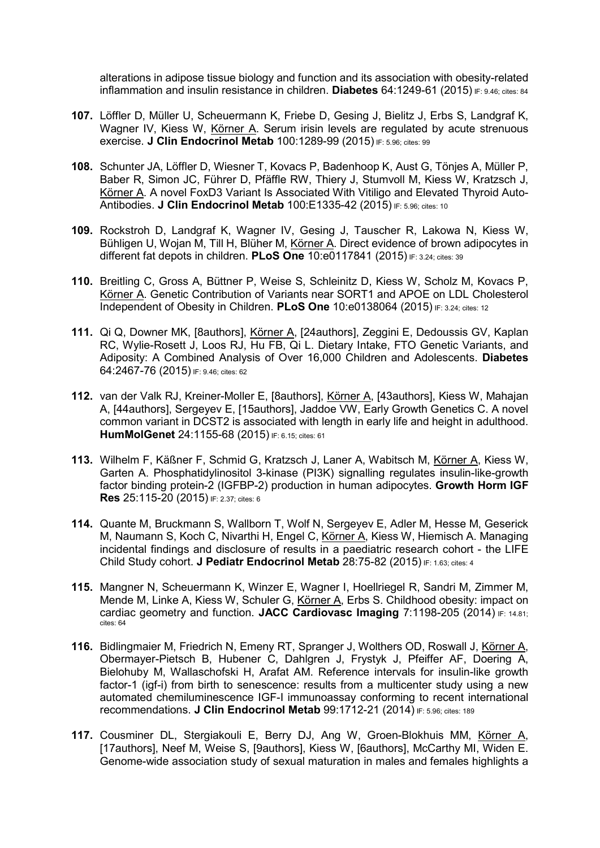alterations in adipose tissue biology and function and its association with obesity-related inflammation and insulin resistance in children. Diabetes  $64:1249-61$  (2015) IF: 9.46; cites: 84

- 107. Löffler D, Müller U, Scheuermann K, Friebe D, Gesing J, Bielitz J, Erbs S, Landgraf K, Wagner IV, Kiess W, Körner A. Serum irisin levels are regulated by acute strenuous exercise. J Clin Endocrinol Metab 100:1289-99 (2015) IF: 5.96; cites: 99
- 108. Schunter JA, Löffler D, Wiesner T, Kovacs P, Badenhoop K, Aust G, Tönjes A, Müller P, Baber R, Simon JC, Führer D, Pfäffle RW, Thiery J, Stumvoll M, Kiess W, Kratzsch J, Körner A. A novel FoxD3 Variant Is Associated With Vitiligo and Elevated Thyroid Auto-Antibodies. J Clin Endocrinol Metab 100:E1335-42 (2015) IF: 5.96; cites: 10
- 109. Rockstroh D, Landgraf K, Wagner IV, Gesing J, Tauscher R, Lakowa N, Kiess W, Bühligen U, Wojan M, Till H, Blüher M, Körner A. Direct evidence of brown adipocytes in different fat depots in children. PLoS One 10:e0117841 (2015) IF: 3.24; cites: 39
- 110. Breitling C, Gross A, Büttner P, Weise S, Schleinitz D, Kiess W, Scholz M, Kovacs P, Körner A. Genetic Contribution of Variants near SORT1 and APOE on LDL Cholesterol Independent of Obesity in Children. PLoS One 10:e0138064 (2015) IF: 3.24; cites: 12
- 111. Qi Q, Downer MK, [8authors], Körner A, [24authors], Zeggini E, Dedoussis GV, Kaplan RC, Wylie-Rosett J, Loos RJ, Hu FB, Qi L. Dietary Intake, FTO Genetic Variants, and Adiposity: A Combined Analysis of Over 16,000 Children and Adolescents. Diabetes 64:2467-76 (2015) IF: 9.46; cites: 62
- 112. van der Valk RJ, Kreiner-Moller E, [8authors], Körner A, [43authors], Kiess W, Mahajan A, [44authors], Sergeyev E, [15authors], Jaddoe VW, Early Growth Genetics C. A novel common variant in DCST2 is associated with length in early life and height in adulthood. HumMolGenet 24:1155-68 (2015) IF: 6.15; cites: 61
- 113. Wilhelm F, Käßner F, Schmid G, Kratzsch J, Laner A, Wabitsch M, Körner A, Kiess W, Garten A. Phosphatidylinositol 3-kinase (PI3K) signalling regulates insulin-like-growth factor binding protein-2 (IGFBP-2) production in human adipocytes. Growth Horm IGF Res 25:115-20 (2015) IF: 2.37; cites: 6
- 114. Quante M, Bruckmann S, Wallborn T, Wolf N, Sergeyev E, Adler M, Hesse M, Geserick M, Naumann S, Koch C, Nivarthi H, Engel C, Körner A, Kiess W, Hiemisch A. Managing incidental findings and disclosure of results in a paediatric research cohort - the LIFE Child Study cohort. J Pediatr Endocrinol Metab 28:75-82 (2015) IF: 1.63; cites: 4
- 115. Mangner N, Scheuermann K, Winzer E, Wagner I, Hoellriegel R, Sandri M, Zimmer M, Mende M, Linke A, Kiess W, Schuler G, Körner A, Erbs S. Childhood obesity: impact on cardiac geometry and function. JACC Cardiovasc Imaging 7:1198-205 (2014)  $F: 14.81$ ; cites: 64
- 116. Bidlingmaier M, Friedrich N, Emeny RT, Spranger J, Wolthers OD, Roswall J, Körner A, Obermayer-Pietsch B, Hubener C, Dahlgren J, Frystyk J, Pfeiffer AF, Doering A, Bielohuby M, Wallaschofski H, Arafat AM. Reference intervals for insulin-like growth factor-1 (igf-i) from birth to senescence: results from a multicenter study using a new automated chemiluminescence IGF-I immunoassay conforming to recent international recommendations. J Clin Endocrinol Metab 99:1712-21 (2014) IF: 5.96; cites: 189
- 117. Cousminer DL, Stergiakouli E, Berry DJ, Ang W, Groen-Blokhuis MM, Körner A, [17authors], Neef M, Weise S, [9authors], Kiess W, [6authors], McCarthy MI, Widen E. Genome-wide association study of sexual maturation in males and females highlights a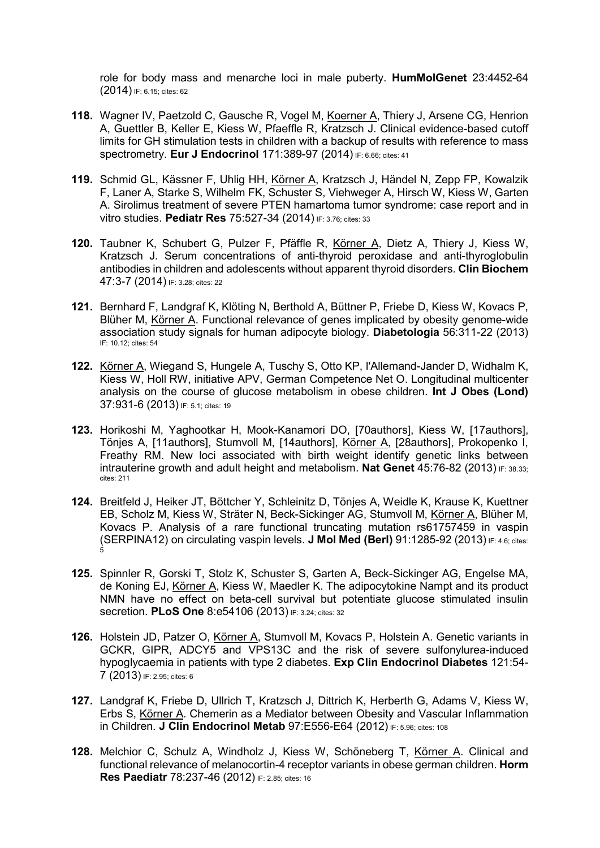role for body mass and menarche loci in male puberty. HumMolGenet 23:4452-64 (2014) IF: 6.15; cites: 62

- 118. Wagner IV, Paetzold C, Gausche R, Vogel M, Koerner A, Thiery J, Arsene CG, Henrion A, Guettler B, Keller E, Kiess W, Pfaeffle R, Kratzsch J. Clinical evidence-based cutoff limits for GH stimulation tests in children with a backup of results with reference to mass spectrometry. Eur J Endocrinol 171:389-97 (2014) IF: 6.66; cites: 41
- 119. Schmid GL, Kässner F, Uhlig HH, Körner A, Kratzsch J, Händel N, Zepp FP, Kowalzik F, Laner A, Starke S, Wilhelm FK, Schuster S, Viehweger A, Hirsch W, Kiess W, Garten A. Sirolimus treatment of severe PTEN hamartoma tumor syndrome: case report and in vitro studies. Pediatr Res 75:527-34 (2014) IF: 3.76; cites: 33
- 120. Taubner K, Schubert G, Pulzer F, Pfäffle R, Körner A, Dietz A, Thiery J, Kiess W, Kratzsch J. Serum concentrations of anti-thyroid peroxidase and anti-thyroglobulin antibodies in children and adolescents without apparent thyroid disorders. Clin Biochem 47:3-7 (2014) IF: 3.28; cites: 22
- 121. Bernhard F, Landgraf K, Klöting N, Berthold A, Büttner P, Friebe D, Kiess W, Kovacs P, Blüher M, Körner A. Functional relevance of genes implicated by obesity genome-wide association study signals for human adipocyte biology. Diabetologia 56:311-22 (2013) IF: 10.12; cites: 54
- 122. Körner A, Wiegand S, Hungele A, Tuschy S, Otto KP, l'Allemand-Jander D, Widhalm K, Kiess W, Holl RW, initiative APV, German Competence Net O. Longitudinal multicenter analysis on the course of glucose metabolism in obese children. Int J Obes (Lond) 37:931-6 (2013) IF: 5.1; cites: 19
- 123. Horikoshi M, Yaghootkar H, Mook-Kanamori DO, [70authors], Kiess W, [17authors], Tönjes A, [11authors], Stumvoll M, [14authors], Körner A, [28authors], Prokopenko I, Freathy RM. New loci associated with birth weight identify genetic links between intrauterine growth and adult height and metabolism. Nat Genet 45:76-82 (2013) IF: 38.33; cites: 211
- 124. Breitfeld J, Heiker JT, Böttcher Y, Schleinitz D, Tönjes A, Weidle K, Krause K, Kuettner EB, Scholz M, Kiess W, Sträter N, Beck-Sickinger AG, Stumvoll M, Körner A, Blüher M, Kovacs P. Analysis of a rare functional truncating mutation rs61757459 in vaspin (SERPINA12) on circulating vaspin levels. J Mol Med (Berl) 91:1285-92 (2013) IF: 4.6; cites: 5
- 125. Spinnler R, Gorski T, Stolz K, Schuster S, Garten A, Beck-Sickinger AG, Engelse MA, de Koning EJ, Körner A, Kiess W, Maedler K. The adipocytokine Nampt and its product NMN have no effect on beta-cell survival but potentiate glucose stimulated insulin secretion. PLoS One 8:e54106 (2013) IF: 3.24; cites: 32
- 126. Holstein JD, Patzer O, Körner A, Stumvoll M, Kovacs P, Holstein A. Genetic variants in GCKR, GIPR, ADCY5 and VPS13C and the risk of severe sulfonylurea-induced hypoglycaemia in patients with type 2 diabetes. Exp Clin Endocrinol Diabetes 121:54- 7 (2013) IF: 2.95; cites: 6
- 127. Landgraf K, Friebe D, Ullrich T, Kratzsch J, Dittrich K, Herberth G, Adams V, Kiess W, Erbs S, Körner A. Chemerin as a Mediator between Obesity and Vascular Inflammation in Children. J Clin Endocrinol Metab 97:E556-E64 (2012) IF: 5.96; cites: 108
- 128. Melchior C, Schulz A, Windholz J, Kiess W, Schöneberg T, Körner A. Clinical and functional relevance of melanocortin-4 receptor variants in obese german children. **Horm** Res Paediatr 78:237-46 (2012) IF: 2.85; cites: 16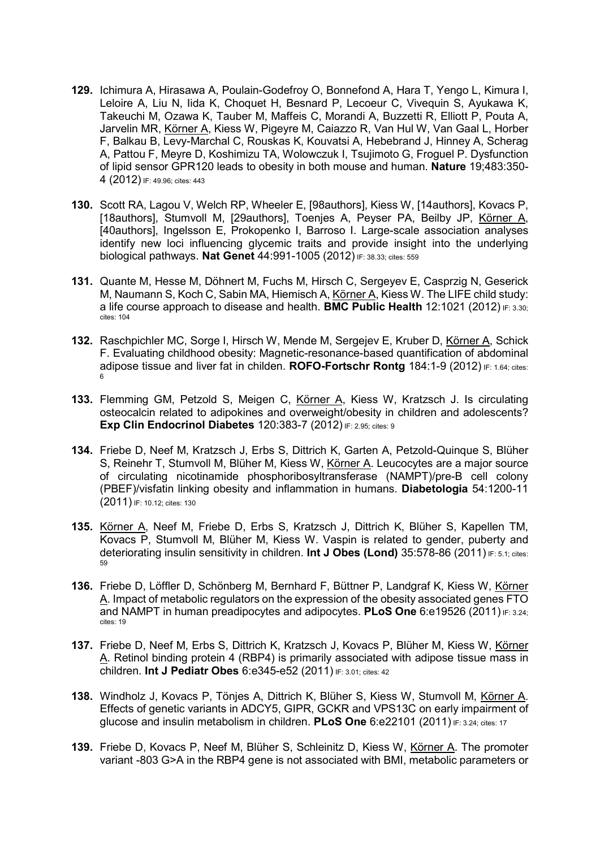- 129. Ichimura A, Hirasawa A, Poulain-Godefroy O, Bonnefond A, Hara T, Yengo L, Kimura I, Leloire A, Liu N, Iida K, Choquet H, Besnard P, Lecoeur C, Vivequin S, Ayukawa K, Takeuchi M, Ozawa K, Tauber M, Maffeis C, Morandi A, Buzzetti R, Elliott P, Pouta A, Jarvelin MR, Körner A, Kiess W, Pigeyre M, Caiazzo R, Van Hul W, Van Gaal L, Horber F, Balkau B, Levy-Marchal C, Rouskas K, Kouvatsi A, Hebebrand J, Hinney A, Scherag A, Pattou F, Meyre D, Koshimizu TA, Wolowczuk I, Tsujimoto G, Froguel P. Dysfunction of lipid sensor GPR120 leads to obesity in both mouse and human. Nature 19;483:350- 4 (2012) IF: 49.96; cites: 443
- 130. Scott RA, Lagou V, Welch RP, Wheeler E, [98authors], Kiess W, [14authors], Kovacs P, [18authors], Stumvoll M, [29authors], Toenjes A, Peyser PA, Beilby JP, Körner A, [40authors], Ingelsson E, Prokopenko I, Barroso I. Large-scale association analyses identify new loci influencing glycemic traits and provide insight into the underlying biological pathways. Nat Genet 44:991-1005 (2012) IF: 38.33; cites: 559
- 131. Quante M, Hesse M, Döhnert M, Fuchs M, Hirsch C, Sergeyev E, Casprzig N, Geserick M, Naumann S, Koch C, Sabin MA, Hiemisch A, Körner A, Kiess W. The LIFE child study: a life course approach to disease and health. **BMC Public Health** 12:1021 (2012) **IF:** 3.30; cites: 104
- 132. Raschpichler MC, Sorge I, Hirsch W, Mende M, Sergejev E, Kruber D, Körner A, Schick F. Evaluating childhood obesity: Magnetic-resonance-based quantification of abdominal adipose tissue and liver fat in childen. ROFO-Fortschr Rontg  $184:1-9$  (2012) IF: 1.64; cites: 6
- 133. Flemming GM, Petzold S, Meigen C, Körner A, Kiess W, Kratzsch J. Is circulating osteocalcin related to adipokines and overweight/obesity in children and adolescents? Exp Clin Endocrinol Diabetes 120:383-7 (2012) IF: 2.95; cites: 9
- 134. Friebe D, Neef M, Kratzsch J, Erbs S, Dittrich K, Garten A, Petzold-Quinque S, Blüher S, Reinehr T, Stumvoll M, Blüher M, Kiess W, Körner A. Leucocytes are a major source of circulating nicotinamide phosphoribosyltransferase (NAMPT)/pre-B cell colony (PBEF)/visfatin linking obesity and inflammation in humans. Diabetologia 54:1200-11 (2011) IF: 10.12; cites: 130
- 135. Körner A, Neef M, Friebe D, Erbs S, Kratzsch J, Dittrich K, Blüher S, Kapellen TM, Kovacs P, Stumvoll M, Blüher M, Kiess W. Vaspin is related to gender, puberty and deteriorating insulin sensitivity in children. Int J Obes (Lond) 35:578-86 (2011) IF: 5.1; cites: 59
- 136. Friebe D, Löffler D, Schönberg M, Bernhard F, Büttner P, Landgraf K, Kiess W, Körner A. Impact of metabolic regulators on the expression of the obesity associated genes FTO and NAMPT in human preadipocytes and adipocytes. PLoS One 6:e19526 (2011) IF: 3.24; cites: 19
- 137. Friebe D, Neef M, Erbs S, Dittrich K, Kratzsch J, Kovacs P, Blüher M, Kiess W, Körner A. Retinol binding protein 4 (RBP4) is primarily associated with adipose tissue mass in children. Int J Pediatr Obes 6:e345-e52 (2011) IF: 3.01; cites: 42
- 138. Windholz J, Kovacs P, Tönjes A, Dittrich K, Blüher S, Kiess W, Stumvoll M, Körner A. Effects of genetic variants in ADCY5, GIPR, GCKR and VPS13C on early impairment of glucose and insulin metabolism in children. PLoS One 6:e22101 (2011) IF: 3.24; cites: 17
- 139. Friebe D, Kovacs P, Neef M, Blüher S, Schleinitz D, Kiess W, Körner A. The promoter variant -803 G>A in the RBP4 gene is not associated with BMI, metabolic parameters or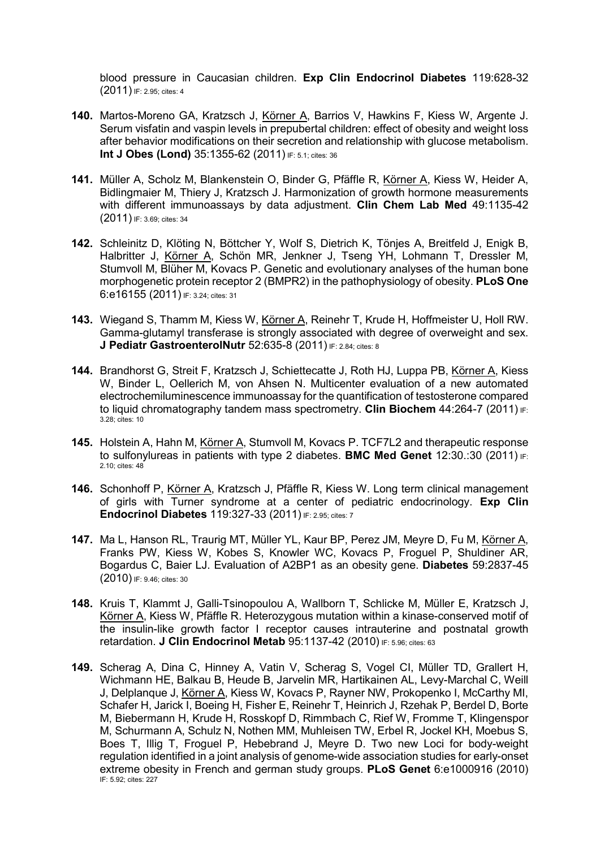blood pressure in Caucasian children. Exp Clin Endocrinol Diabetes 119:628-32 (2011) IF: 2.95; cites: 4

- 140. Martos-Moreno GA, Kratzsch J, Körner A, Barrios V, Hawkins F, Kiess W, Argente J. Serum visfatin and vaspin levels in prepubertal children: effect of obesity and weight loss after behavior modifications on their secretion and relationship with glucose metabolism. Int J Obes (Lond) 35:1355-62 (2011) IF: 5.1; cites: 36
- 141. Müller A, Scholz M, Blankenstein O, Binder G, Pfäffle R, Körner A, Kiess W, Heider A, Bidlingmaier M, Thiery J, Kratzsch J. Harmonization of growth hormone measurements with different immunoassays by data adjustment. Clin Chem Lab Med 49:1135-42 (2011) IF: 3.69; cites: 34
- 142. Schleinitz D, Klöting N, Böttcher Y, Wolf S, Dietrich K, Tönjes A, Breitfeld J, Enigk B, Halbritter J, Körner A, Schön MR, Jenkner J, Tseng YH, Lohmann T, Dressler M, Stumvoll M, Blüher M, Kovacs P. Genetic and evolutionary analyses of the human bone morphogenetic protein receptor 2 (BMPR2) in the pathophysiology of obesity. PLoS One 6:e16155 (2011) IF: 3.24; cites: 31
- 143. Wiegand S, Thamm M, Kiess W, Körner A, Reinehr T, Krude H, Hoffmeister U, Holl RW. Gamma-glutamyl transferase is strongly associated with degree of overweight and sex. J Pediatr GastroenterolNutr 52:635-8 (2011) IF: 2.84; cites: 8
- 144. Brandhorst G, Streit F, Kratzsch J, Schiettecatte J, Roth HJ, Luppa PB, Körner A, Kiess W, Binder L, Oellerich M, von Ahsen N. Multicenter evaluation of a new automated electrochemiluminescence immunoassay for the quantification of testosterone compared to liquid chromatography tandem mass spectrometry. Clin Biochem 44:264-7 (2011) IF: 3.28; cites: 10
- 145. Holstein A, Hahn M, Körner A, Stumvoll M, Kovacs P. TCF7L2 and therapeutic response to sulfonylureas in patients with type 2 diabetes. **BMC Med Genet**  $12:30:30$  ( $2011$ ) IF: 2.10; cites: 48
- 146. Schonhoff P, Körner A, Kratzsch J, Pfäffle R, Kiess W. Long term clinical management of girls with Turner syndrome at a center of pediatric endocrinology. Exp Clin Endocrinol Diabetes 119:327-33 (2011) IF: 2.95; cites: 7
- 147. Ma L, Hanson RL, Traurig MT, Müller YL, Kaur BP, Perez JM, Meyre D, Fu M, Körner A, Franks PW, Kiess W, Kobes S, Knowler WC, Kovacs P, Froguel P, Shuldiner AR, Bogardus C, Baier LJ. Evaluation of A2BP1 as an obesity gene. Diabetes 59:2837-45 (2010) IF: 9.46; cites: 30
- 148. Kruis T, Klammt J, Galli-Tsinopoulou A, Wallborn T, Schlicke M, Müller E, Kratzsch J, Körner A, Kiess W, Pfäffle R. Heterozygous mutation within a kinase-conserved motif of the insulin-like growth factor I receptor causes intrauterine and postnatal growth retardation. J Clin Endocrinol Metab 95:1137-42 (2010) IF: 5.96; cites: 63
- 149. Scherag A, Dina C, Hinney A, Vatin V, Scherag S, Vogel CI, Müller TD, Grallert H, Wichmann HE, Balkau B, Heude B, Jarvelin MR, Hartikainen AL, Levy-Marchal C, Weill J, Delplanque J, Körner A, Kiess W, Kovacs P, Rayner NW, Prokopenko I, McCarthy MI, Schafer H, Jarick I, Boeing H, Fisher E, Reinehr T, Heinrich J, Rzehak P, Berdel D, Borte M, Biebermann H, Krude H, Rosskopf D, Rimmbach C, Rief W, Fromme T, Klingenspor M, Schurmann A, Schulz N, Nothen MM, Muhleisen TW, Erbel R, Jockel KH, Moebus S, Boes T, Illig T, Froguel P, Hebebrand J, Meyre D. Two new Loci for body-weight regulation identified in a joint analysis of genome-wide association studies for early-onset extreme obesity in French and german study groups. PLoS Genet 6:e1000916 (2010) IF: 5.92; cites: 227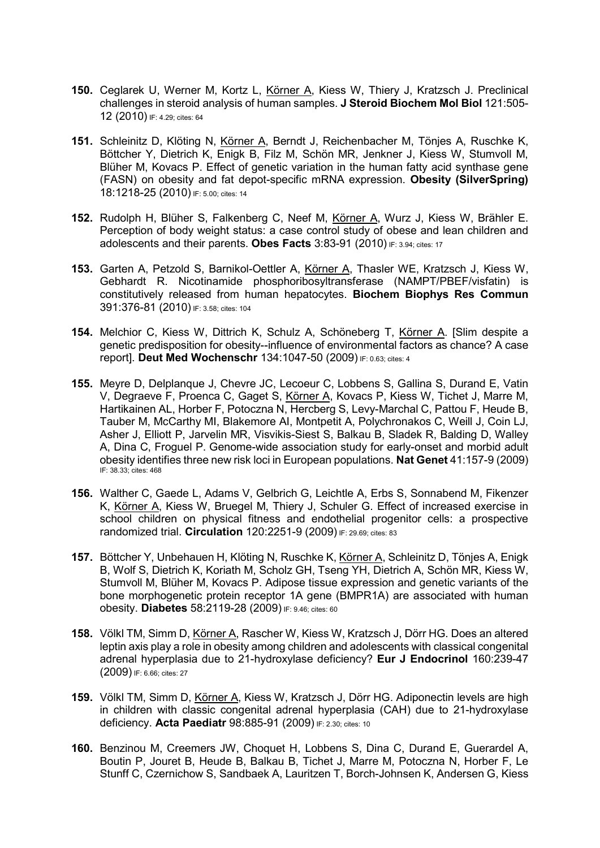- 150. Ceglarek U, Werner M, Kortz L, Körner A, Kiess W, Thiery J, Kratzsch J. Preclinical challenges in steroid analysis of human samples. J Steroid Biochem Mol Biol 121:505- 12 (2010) IF: 4.29; cites: 64
- 151. Schleinitz D, Klöting N, Körner A, Berndt J, Reichenbacher M, Tönjes A, Ruschke K, Böttcher Y, Dietrich K, Enigk B, Filz M, Schön MR, Jenkner J, Kiess W, Stumvoll M, Blüher M, Kovacs P. Effect of genetic variation in the human fatty acid synthase gene (FASN) on obesity and fat depot-specific mRNA expression. Obesity (SilverSpring) 18:1218-25 (2010) IF: 5.00; cites: 14
- 152. Rudolph H, Blüher S, Falkenberg C, Neef M, Körner A, Wurz J, Kiess W, Brähler E. Perception of body weight status: a case control study of obese and lean children and adolescents and their parents. Obes Facts 3:83-91 (2010) IF: 3.94; cites: 17
- 153. Garten A, Petzold S, Barnikol-Oettler A, Körner A, Thasler WE, Kratzsch J, Kiess W, Gebhardt R. Nicotinamide phosphoribosyltransferase (NAMPT/PBEF/visfatin) is constitutively released from human hepatocytes. Biochem Biophys Res Commun 391:376-81 (2010) IF: 3.58; cites: 104
- 154. Melchior C, Kiess W, Dittrich K, Schulz A, Schöneberg T, Körner A. [Slim despite a genetic predisposition for obesity--influence of environmental factors as chance? A case report]. Deut Med Wochenschr 134:1047-50 (2009) IF: 0.63; cites: 4
- 155. Meyre D, Delplanque J, Chevre JC, Lecoeur C, Lobbens S, Gallina S, Durand E, Vatin V, Degraeve F, Proenca C, Gaget S, Körner A, Kovacs P, Kiess W, Tichet J, Marre M, Hartikainen AL, Horber F, Potoczna N, Hercberg S, Levy-Marchal C, Pattou F, Heude B, Tauber M, McCarthy MI, Blakemore AI, Montpetit A, Polychronakos C, Weill J, Coin LJ, Asher J, Elliott P, Jarvelin MR, Visvikis-Siest S, Balkau B, Sladek R, Balding D, Walley A, Dina C, Froguel P. Genome-wide association study for early-onset and morbid adult obesity identifies three new risk loci in European populations. Nat Genet 41:157-9 (2009) IF: 38.33; cites: 468
- 156. Walther C, Gaede L, Adams V, Gelbrich G, Leichtle A, Erbs S, Sonnabend M, Fikenzer K, Körner A, Kiess W, Bruegel M, Thiery J, Schuler G. Effect of increased exercise in school children on physical fitness and endothelial progenitor cells: a prospective randomized trial. Circulation 120:2251-9 (2009) IF: 29.69; cites: 83
- 157. Böttcher Y, Unbehauen H, Klöting N, Ruschke K, Körner A, Schleinitz D, Tönjes A, Enigk B, Wolf S, Dietrich K, Koriath M, Scholz GH, Tseng YH, Dietrich A, Schön MR, Kiess W, Stumvoll M, Blüher M, Kovacs P. Adipose tissue expression and genetic variants of the bone morphogenetic protein receptor 1A gene (BMPR1A) are associated with human obesity. Diabetes 58:2119-28 (2009) IF: 9.46; cites: 60
- 158. Völkl TM, Simm D, Körner A, Rascher W, Kiess W, Kratzsch J, Dörr HG. Does an altered leptin axis play a role in obesity among children and adolescents with classical congenital adrenal hyperplasia due to 21-hydroxylase deficiency? Eur J Endocrinol 160:239-47 (2009) IF: 6.66; cites: 27
- 159. Völkl TM, Simm D, Körner A, Kiess W, Kratzsch J, Dörr HG. Adiponectin levels are high in children with classic congenital adrenal hyperplasia (CAH) due to 21-hydroxylase deficiency. Acta Paediatr 98:885-91 (2009) IF: 2.30; cites: 10
- 160. Benzinou M, Creemers JW, Choquet H, Lobbens S, Dina C, Durand E, Guerardel A, Boutin P, Jouret B, Heude B, Balkau B, Tichet J, Marre M, Potoczna N, Horber F, Le Stunff C, Czernichow S, Sandbaek A, Lauritzen T, Borch-Johnsen K, Andersen G, Kiess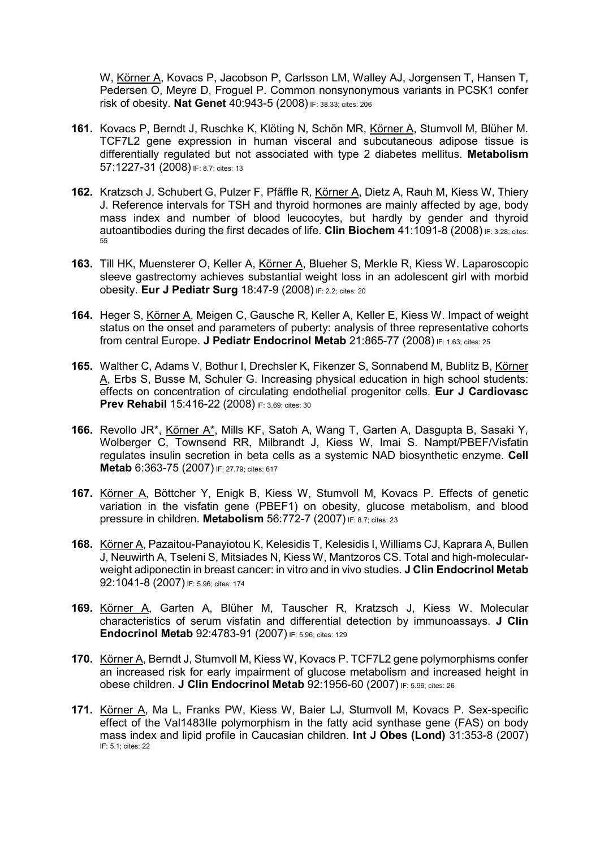W, Körner A, Kovacs P, Jacobson P, Carlsson LM, Walley AJ, Jorgensen T, Hansen T, Pedersen O, Meyre D, Froguel P. Common nonsynonymous variants in PCSK1 confer risk of obesity. Nat Genet 40:943-5 (2008) IF: 38.33; cites: 206

- 161. Kovacs P, Berndt J, Ruschke K, Klöting N, Schön MR, Körner A, Stumvoll M, Blüher M. TCF7L2 gene expression in human visceral and subcutaneous adipose tissue is differentially regulated but not associated with type 2 diabetes mellitus. Metabolism 57:1227-31 (2008) IF: 8.7; cites: 13
- 162. Kratzsch J, Schubert G, Pulzer F, Pfäffle R, Körner A, Dietz A, Rauh M, Kiess W, Thiery J. Reference intervals for TSH and thyroid hormones are mainly affected by age, body mass index and number of blood leucocytes, but hardly by gender and thyroid autoantibodies during the first decades of life. Clin Biochem 41:1091-8 (2008) IF: 3.28; cites: 55
- 163. Till HK, Muensterer O, Keller A, Körner A, Blueher S, Merkle R, Kiess W. Laparoscopic sleeve gastrectomy achieves substantial weight loss in an adolescent girl with morbid obesity. Eur J Pediatr Surg 18:47-9 (2008) IF: 2.2; cites: 20
- 164. Heger S, Körner A, Meigen C, Gausche R, Keller A, Keller E, Kiess W. Impact of weight status on the onset and parameters of puberty: analysis of three representative cohorts from central Europe. J Pediatr Endocrinol Metab 21:865-77 (2008) IF: 1.63; cites: 25
- 165. Walther C, Adams V, Bothur I, Drechsler K, Fikenzer S, Sonnabend M, Bublitz B, Körner A, Erbs S, Busse M, Schuler G. Increasing physical education in high school students: effects on concentration of circulating endothelial progenitor cells. Eur J Cardiovasc **Prev Rehabil 15:416-22 (2008) IF: 3.69; cites: 30**
- 166. Revollo JR\*, Körner A\*, Mills KF, Satoh A, Wang T, Garten A, Dasgupta B, Sasaki Y, Wolberger C, Townsend RR, Milbrandt J, Kiess W, Imai S. Nampt/PBEF/Visfatin regulates insulin secretion in beta cells as a systemic NAD biosynthetic enzyme. Cell Metab 6:363-75 (2007) IF: 27.79; cites: 617
- 167. Körner A, Böttcher Y, Enigk B, Kiess W, Stumvoll M, Kovacs P. Effects of genetic variation in the visfatin gene (PBEF1) on obesity, glucose metabolism, and blood pressure in children. Metabolism 56:772-7 (2007) IF: 8.7; cites: 23
- 168. Körner A, Pazaitou-Panayiotou K, Kelesidis T, Kelesidis I, Williams CJ, Kaprara A, Bullen J, Neuwirth A, Tseleni S, Mitsiades N, Kiess W, Mantzoros CS. Total and high-molecularweight adiponectin in breast cancer: in vitro and in vivo studies. **J Clin Endocrinol Metab** 92:1041-8 (2007) IF: 5.96; cites: 174
- 169. Körner A, Garten A, Blüher M, Tauscher R, Kratzsch J, Kiess W. Molecular characteristics of serum visfatin and differential detection by immunoassays. J Clin Endocrinol Metab 92:4783-91 (2007) IF: 5.96; cites: 129
- 170. Körner A, Berndt J, Stumvoll M, Kiess W, Kovacs P. TCF7L2 gene polymorphisms confer an increased risk for early impairment of glucose metabolism and increased height in obese children. J Clin Endocrinol Metab 92:1956-60 (2007) IF: 5.96; cites: 26
- 171. Körner A, Ma L, Franks PW, Kiess W, Baier LJ, Stumvoll M, Kovacs P. Sex-specific effect of the Val1483Ile polymorphism in the fatty acid synthase gene (FAS) on body mass index and lipid profile in Caucasian children. Int J Obes (Lond) 31:353-8 (2007) IF: 5.1; cites: 22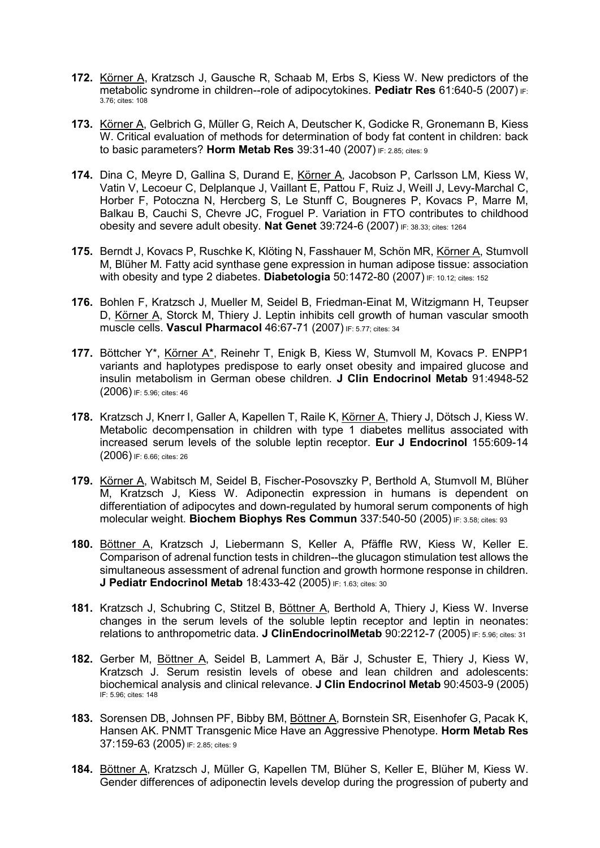- 172. Körner A, Kratzsch J, Gausche R, Schaab M, Erbs S, Kiess W. New predictors of the metabolic syndrome in children--role of adipocytokines. Pediatr Res 61:640-5 (2007) IF: 3.76; cites: 108
- 173. Körner A, Gelbrich G, Müller G, Reich A, Deutscher K, Godicke R, Gronemann B, Kiess W. Critical evaluation of methods for determination of body fat content in children: back to basic parameters? Horm Metab Res 39:31-40 (2007) IF: 2.85: cites: 9
- 174. Dina C, Meyre D, Gallina S, Durand E, Körner A, Jacobson P, Carlsson LM, Kiess W, Vatin V, Lecoeur C, Delplanque J, Vaillant E, Pattou F, Ruiz J, Weill J, Levy-Marchal C, Horber F, Potoczna N, Hercberg S, Le Stunff C, Bougneres P, Kovacs P, Marre M, Balkau B, Cauchi S, Chevre JC, Froguel P. Variation in FTO contributes to childhood obesity and severe adult obesity. Nat Genet 39:724-6 (2007) IF: 38.33; cites: 1264
- 175. Berndt J, Kovacs P, Ruschke K, Klöting N, Fasshauer M, Schön MR, Körner A, Stumvoll M, Blüher M. Fatty acid synthase gene expression in human adipose tissue: association with obesity and type 2 diabetes. Diabetologia  $50:1472-80$  (2007) IF: 10.12; cites: 152
- 176. Bohlen F, Kratzsch J, Mueller M, Seidel B, Friedman-Einat M, Witzigmann H, Teupser D, Körner A, Storck M, Thiery J. Leptin inhibits cell growth of human vascular smooth muscle cells. Vascul Pharmacol 46:67-71 (2007) IF: 5.77; cites: 34
- 177. Böttcher Y\*, Körner A\*, Reinehr T, Enigk B, Kiess W, Stumvoll M, Kovacs P. ENPP1 variants and haplotypes predispose to early onset obesity and impaired glucose and insulin metabolism in German obese children. J Clin Endocrinol Metab 91:4948-52 (2006) IF: 5.96; cites: 46
- 178. Kratzsch J, Knerr I, Galler A, Kapellen T, Raile K, Körner A, Thiery J, Dötsch J, Kiess W. Metabolic decompensation in children with type 1 diabetes mellitus associated with increased serum levels of the soluble leptin receptor. Eur J Endocrinol 155:609-14 (2006) IF: 6.66; cites: 26
- 179. Körner A, Wabitsch M, Seidel B, Fischer-Posovszky P, Berthold A, Stumvoll M, Blüher M, Kratzsch J, Kiess W. Adiponectin expression in humans is dependent on differentiation of adipocytes and down-regulated by humoral serum components of high molecular weight. Biochem Biophys Res Commun 337:540-50 (2005) IF: 3.58; cites: 93
- 180. Böttner A, Kratzsch J, Liebermann S, Keller A, Pfäffle RW, Kiess W, Keller E. Comparison of adrenal function tests in children--the glucagon stimulation test allows the simultaneous assessment of adrenal function and growth hormone response in children. J Pediatr Endocrinol Metab 18:433-42 (2005) IF: 1.63; cites: 30
- 181. Kratzsch J, Schubring C, Stitzel B, Böttner A, Berthold A, Thiery J, Kiess W. Inverse changes in the serum levels of the soluble leptin receptor and leptin in neonates: relations to anthropometric data. J ClinEndocrinolMetab 90:2212-7 (2005) IF: 5.96; cites: 31
- 182. Gerber M, Böttner A, Seidel B, Lammert A, Bär J, Schuster E, Thiery J, Kiess W, Kratzsch J. Serum resistin levels of obese and lean children and adolescents: biochemical analysis and clinical relevance. J Clin Endocrinol Metab 90:4503-9 (2005) IF: 5.96; cites: 148
- 183. Sorensen DB, Johnsen PF, Bibby BM, Böttner A, Bornstein SR, Eisenhofer G, Pacak K, Hansen AK. PNMT Transgenic Mice Have an Aggressive Phenotype. Horm Metab Res 37:159-63 (2005) IF: 2.85; cites: 9
- 184. Böttner A, Kratzsch J, Müller G, Kapellen TM, Blüher S, Keller E, Blüher M, Kiess W. Gender differences of adiponectin levels develop during the progression of puberty and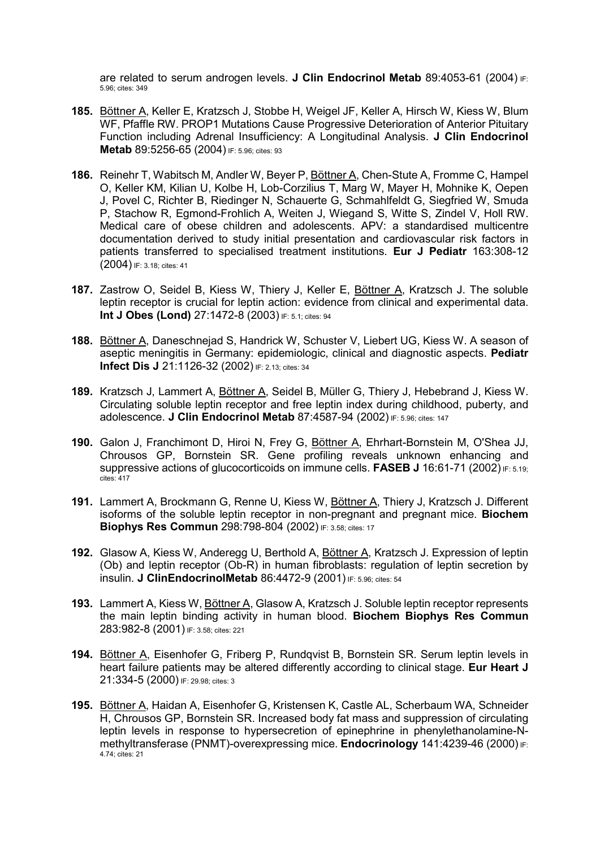are related to serum androgen levels. J Clin Endocrinol Metab 89:4053-61 (2004) IF: 5.96; cites: 349

- 185. Böttner A, Keller E, Kratzsch J, Stobbe H, Weigel JF, Keller A, Hirsch W, Kiess W, Blum WF, Pfaffle RW. PROP1 Mutations Cause Progressive Deterioration of Anterior Pituitary Function including Adrenal Insufficiency: A Longitudinal Analysis. J Clin Endocrinol Metab 89:5256-65 (2004) IF: 5.96; cites: 93
- 186. Reinehr T, Wabitsch M, Andler W, Beyer P, Böttner A, Chen-Stute A, Fromme C, Hampel O, Keller KM, Kilian U, Kolbe H, Lob-Corzilius T, Marg W, Mayer H, Mohnike K, Oepen J, Povel C, Richter B, Riedinger N, Schauerte G, Schmahlfeldt G, Siegfried W, Smuda P, Stachow R, Egmond-Frohlich A, Weiten J, Wiegand S, Witte S, Zindel V, Holl RW. Medical care of obese children and adolescents. APV: a standardised multicentre documentation derived to study initial presentation and cardiovascular risk factors in patients transferred to specialised treatment institutions. Eur J Pediatr 163:308-12 (2004) IF: 3.18; cites: 41
- 187. Zastrow O, Seidel B, Kiess W, Thiery J, Keller E, Böttner A, Kratzsch J. The soluble leptin receptor is crucial for leptin action: evidence from clinical and experimental data. Int J Obes (Lond) 27:1472-8 (2003) IF: 5.1; cites: 94
- 188. Böttner A, Daneschnejad S, Handrick W, Schuster V, Liebert UG, Kiess W. A season of aseptic meningitis in Germany: epidemiologic, clinical and diagnostic aspects. Pediatr **Infect Dis J 21:1126-32 (2002)** IF: 2.13; cites: 34
- 189. Kratzsch J, Lammert A, Böttner A, Seidel B, Müller G, Thiery J, Hebebrand J, Kiess W. Circulating soluble leptin receptor and free leptin index during childhood, puberty, and adolescence. J Clin Endocrinol Metab 87:4587-94 (2002) IF: 5.96; cites: 147
- 190. Galon J, Franchimont D, Hiroi N, Frey G, Böttner A, Ehrhart-Bornstein M, O'Shea JJ, Chrousos GP, Bornstein SR. Gene profiling reveals unknown enhancing and suppressive actions of glucocorticoids on immune cells. FASEB J 16:61-71 (2002) IF: 5.19; cites: 417
- 191. Lammert A, Brockmann G, Renne U, Kiess W, Böttner A, Thiery J, Kratzsch J. Different isoforms of the soluble leptin receptor in non-pregnant and pregnant mice. Biochem **Biophys Res Commun 298:798-804 (2002) IF: 3.58; cites: 17**
- 192. Glasow A, Kiess W, Anderegg U, Berthold A, Böttner A, Kratzsch J. Expression of leptin (Ob) and leptin receptor (Ob-R) in human fibroblasts: regulation of leptin secretion by insulin. J ClinEndocrinolMetab 86:4472-9 (2001) IF: 5.96; cites: 54
- 193. Lammert A, Kiess W, Böttner A, Glasow A, Kratzsch J. Soluble leptin receptor represents the main leptin binding activity in human blood. Biochem Biophys Res Commun 283:982-8 (2001) IF: 3.58; cites: 221
- 194. Böttner A, Eisenhofer G, Friberg P, Rundqvist B, Bornstein SR. Serum leptin levels in heart failure patients may be altered differently according to clinical stage. Eur Heart J 21:334-5 (2000) IF: 29.98; cites: 3
- 195. Böttner A, Haidan A, Eisenhofer G, Kristensen K, Castle AL, Scherbaum WA, Schneider H, Chrousos GP, Bornstein SR. Increased body fat mass and suppression of circulating leptin levels in response to hypersecretion of epinephrine in phenylethanolamine-Nmethyltransferase (PNMT)-overexpressing mice. Endocrinology 141:4239-46 (2000) IF: 4.74; cites: 21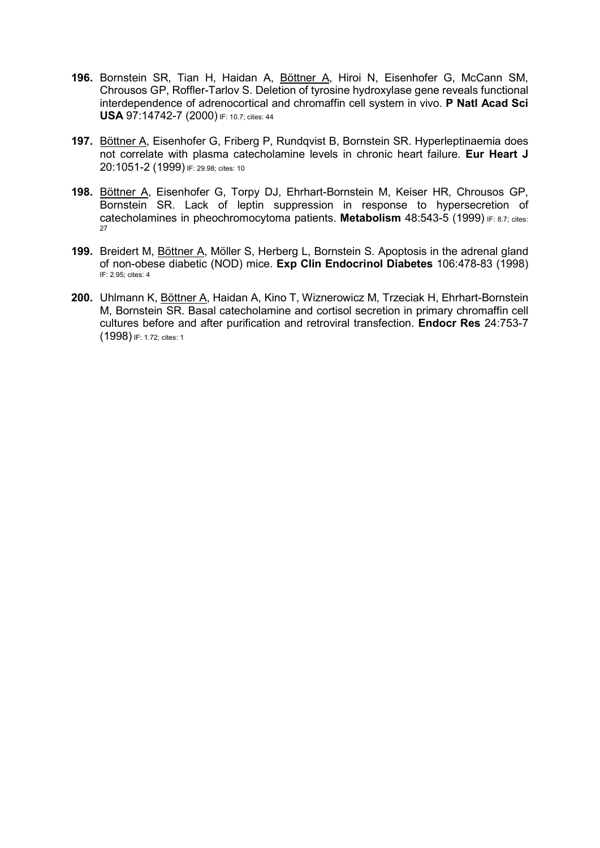- 196. Bornstein SR, Tian H, Haidan A, Böttner A, Hiroi N, Eisenhofer G, McCann SM, Chrousos GP, Roffler-Tarlov S. Deletion of tyrosine hydroxylase gene reveals functional interdependence of adrenocortical and chromaffin cell system in vivo. P Natl Acad Sci USA 97:14742-7 (2000) IF: 10.7; cites: 44
- 197. Böttner A, Eisenhofer G, Friberg P, Rundqvist B, Bornstein SR. Hyperleptinaemia does not correlate with plasma catecholamine levels in chronic heart failure. Eur Heart J 20:1051-2 (1999) IF: 29.98; cites: 10
- 198. Böttner A, Eisenhofer G, Torpy DJ, Ehrhart-Bornstein M, Keiser HR, Chrousos GP, Bornstein SR. Lack of leptin suppression in response to hypersecretion of catecholamines in pheochromocytoma patients. Metabolism 48:543-5 (1999) IF: 8.7; cites: 27
- 199. Breidert M, Böttner A, Möller S, Herberg L, Bornstein S. Apoptosis in the adrenal gland of non-obese diabetic (NOD) mice. Exp Clin Endocrinol Diabetes 106:478-83 (1998) IF: 2.95; cites: 4
- 200. Uhlmann K, Böttner A, Haidan A, Kino T, Wiznerowicz M, Trzeciak H, Ehrhart-Bornstein M, Bornstein SR. Basal catecholamine and cortisol secretion in primary chromaffin cell cultures before and after purification and retroviral transfection. Endocr Res 24:753-7 (1998) IF: 1.72; cites: 1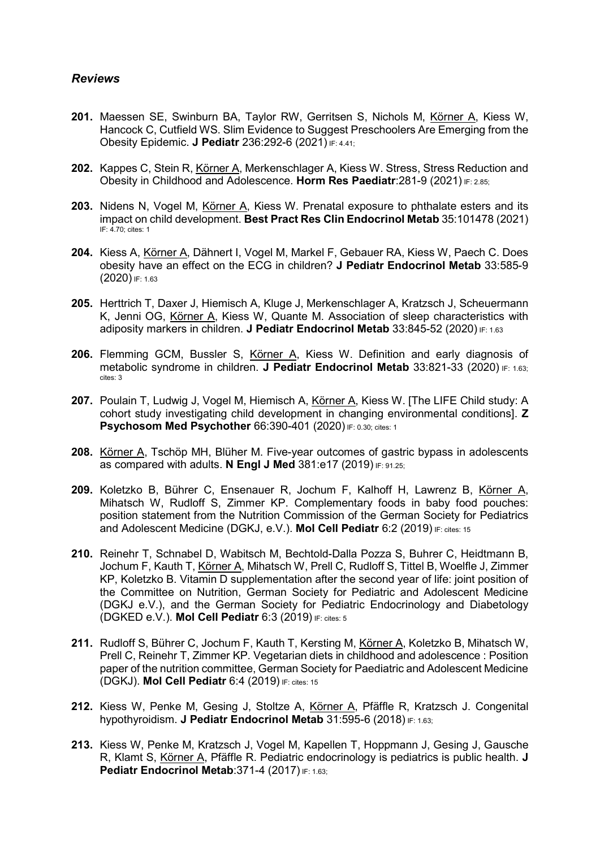# Reviews

- 201. Maessen SE, Swinburn BA, Taylor RW, Gerritsen S, Nichols M, Körner A, Kiess W, Hancock C, Cutfield WS. Slim Evidence to Suggest Preschoolers Are Emerging from the Obesity Epidemic. J Pediatr 236:292-6 (2021) IF: 4.41;
- 202. Kappes C, Stein R, Körner A, Merkenschlager A, Kiess W. Stress, Stress Reduction and Obesity in Childhood and Adolescence. Horm Res Paediatr:281-9 (2021) IF: 2.85;
- 203. Nidens N, Vogel M, Körner A, Kiess W. Prenatal exposure to phthalate esters and its impact on child development. Best Pract Res Clin Endocrinol Metab 35:101478 (2021) IF: 4.70; cites: 1
- 204. Kiess A, Körner A, Dähnert I, Vogel M, Markel F, Gebauer RA, Kiess W, Paech C. Does obesity have an effect on the ECG in children? J Pediatr Endocrinol Metab 33:585-9  $(2020)$  IF: 1.63
- 205. Herttrich T, Daxer J, Hiemisch A, Kluge J, Merkenschlager A, Kratzsch J, Scheuermann K, Jenni OG, Körner A, Kiess W, Quante M. Association of sleep characteristics with adiposity markers in children. J Pediatr Endocrinol Metab 33:845-52 (2020) IF: 1.63
- 206. Flemming GCM, Bussler S, Körner A, Kiess W. Definition and early diagnosis of metabolic syndrome in children. J Pediatr Endocrinol Metab 33:821-33 (2020) IF: 1.63; cites: 3
- 207. Poulain T, Ludwig J, Vogel M, Hiemisch A, Körner A, Kiess W. [The LIFE Child study: A cohort study investigating child development in changing environmental conditions]. Z **Psychosom Med Psychother 66:390-401 (2020) IF: 0.30; cites: 1**
- 208. Körner A, Tschöp MH, Blüher M. Five-year outcomes of gastric bypass in adolescents as compared with adults. N Engl J Med  $381:e17$  (2019)  $F: 91.25$ ;
- 209. Koletzko B, Bührer C, Ensenauer R, Jochum F, Kalhoff H, Lawrenz B, Körner A, Mihatsch W, Rudloff S, Zimmer KP. Complementary foods in baby food pouches: position statement from the Nutrition Commission of the German Society for Pediatrics and Adolescent Medicine (DGKJ, e.V.). Mol Cell Pediatr 6:2 (2019) IF: cites: 15
- 210. Reinehr T, Schnabel D, Wabitsch M, Bechtold-Dalla Pozza S, Buhrer C, Heidtmann B, Jochum F, Kauth T, Körner A, Mihatsch W, Prell C, Rudloff S, Tittel B, Woelfle J, Zimmer KP, Koletzko B. Vitamin D supplementation after the second year of life: joint position of the Committee on Nutrition, German Society for Pediatric and Adolescent Medicine (DGKJ e.V.), and the German Society for Pediatric Endocrinology and Diabetology (DGKED e.V.). Mol Cell Pediatr 6:3 (2019) IF: cites: 5
- 211. Rudloff S, Bührer C, Jochum F, Kauth T, Kersting M, Körner A, Koletzko B, Mihatsch W, Prell C, Reinehr T, Zimmer KP. Vegetarian diets in childhood and adolescence : Position paper of the nutrition committee, German Society for Paediatric and Adolescent Medicine (DGKJ). Mol Cell Pediatr 6:4 (2019) IF: cites: 15
- 212. Kiess W, Penke M, Gesing J, Stoltze A, Körner A, Pfäffle R, Kratzsch J. Congenital hypothyroidism. J Pediatr Endocrinol Metab 31:595-6 (2018) IF: 1.63;
- 213. Kiess W, Penke M, Kratzsch J, Vogel M, Kapellen T, Hoppmann J, Gesing J, Gausche R, Klamt S, Körner A, Pfäffle R. Pediatric endocrinology is pediatrics is public health. J Pediatr Endocrinol Metab: 371-4 (2017) IF: 1.63;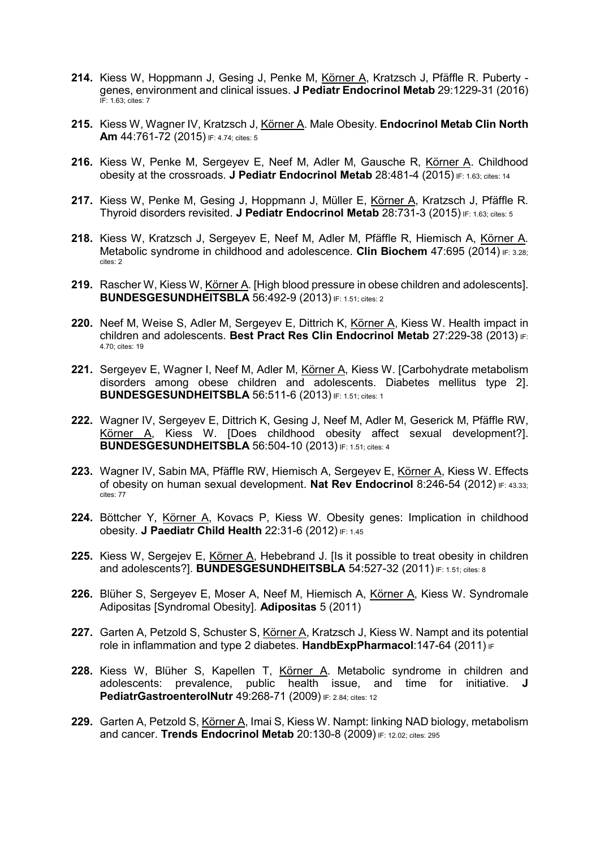- 214. Kiess W, Hoppmann J, Gesing J, Penke M, Körner A, Kratzsch J, Pfäffle R. Puberty genes, environment and clinical issues. J Pediatr Endocrinol Metab 29:1229-31 (2016) IF: 1.63; cites: 7
- 215. Kiess W, Wagner IV, Kratzsch J, Körner A. Male Obesity. Endocrinol Metab Clin North Am 44:761-72 (2015) IF: 4.74; cites: 5
- 216. Kiess W, Penke M, Sergeyev E, Neef M, Adler M, Gausche R, Körner A. Childhood obesity at the crossroads. J Pediatr Endocrinol Metab  $28:481-4$  (2015) IF: 1.63; cites: 14
- 217. Kiess W, Penke M, Gesing J, Hoppmann J, Müller E, Körner A, Kratzsch J, Pfäffle R. Thyroid disorders revisited. J Pediatr Endocrinol Metab 28:731-3 (2015) IF: 1.63; cites: 5
- 218. Kiess W, Kratzsch J, Sergeyev E, Neef M, Adler M, Pfäffle R, Hiemisch A, Körner A. Metabolic syndrome in childhood and adolescence. Clin Biochem 47:695 (2014)  $F: 3.28$ cites: 2
- 219. Rascher W, Kiess W, Körner A. [High blood pressure in obese children and adolescents]. BUNDESGESUNDHEITSBLA 56:492-9 (2013) IF: 1.51; cites: 2
- 220. Neef M, Weise S, Adler M, Sergeyev E, Dittrich K, Körner A, Kiess W. Health impact in children and adolescents. Best Pract Res Clin Endocrinol Metab 27:229-38 (2013) IF: 4.70; cites: 19
- 221. Sergeyev E, Wagner I, Neef M, Adler M, Körner A, Kiess W. [Carbohydrate metabolism disorders among obese children and adolescents. Diabetes mellitus type 2]. **BUNDESGESUNDHEITSBLA** 56:511-6 (2013) IF: 1.51; cites: 1
- 222. Wagner IV, Sergeyev E, Dittrich K, Gesing J, Neef M, Adler M, Geserick M, Pfäffle RW, Körner A, Kiess W. [Does childhood obesity affect sexual development?]. **BUNDESGESUNDHEITSBLA** 56:504-10 (2013) IF: 1.51; cites: 4
- 223. Wagner IV, Sabin MA, Pfäffle RW, Hiemisch A, Sergeyev E, Körner A, Kiess W. Effects of obesity on human sexual development. Nat Rev Endocrinol 8:246-54 (2012)  $F: 43.33$ ; cites: 77
- 224. Böttcher Y, Körner A, Kovacs P, Kiess W. Obesity genes: Implication in childhood obesity. J Paediatr Child Health 22:31-6 (2012) IF: 1.45
- 225. Kiess W, Sergejev E, Körner A, Hebebrand J. [Is it possible to treat obesity in children and adolescents?]. BUNDESGESUNDHEITSBLA 54:527-32 (2011) IF: 1.51; cites: 8
- 226. Blüher S, Sergeyev E, Moser A, Neef M, Hiemisch A, Körner A, Kiess W. Syndromale Adipositas [Syndromal Obesity]. Adipositas 5 (2011)
- 227. Garten A, Petzold S, Schuster S, Körner A, Kratzsch J, Kiess W. Nampt and its potential role in inflammation and type 2 diabetes. HandbExpPharmacol: 147-64 (2011) IF
- 228. Kiess W, Blüher S, Kapellen T, Körner A. Metabolic syndrome in children and adolescents: prevalence, public health issue, and time for initiative. J **PediatrGastroenterolNutr 49:268-71 (2009) IF: 2.84; cites: 12**
- 229. Garten A, Petzold S, Körner A, Imai S, Kiess W. Nampt: linking NAD biology, metabolism and cancer. Trends Endocrinol Metab 20:130-8 (2009) IF: 12.02; cites: 295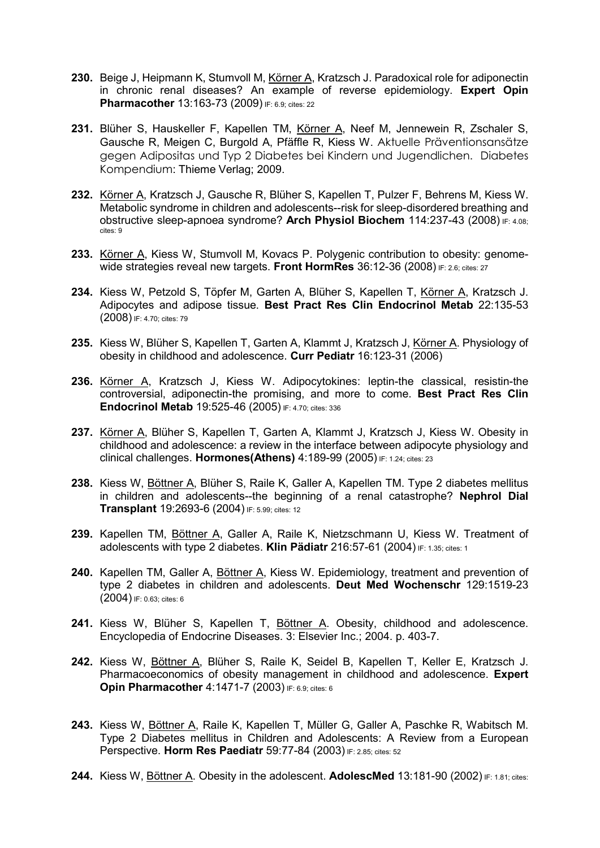- 230. Beige J, Heipmann K, Stumvoll M, Körner A, Kratzsch J. Paradoxical role for adiponectin in chronic renal diseases? An example of reverse epidemiology. Expert Opin Pharmacother 13:163-73 (2009) IF: 6.9; cites: 22
- 231. Blüher S, Hauskeller F, Kapellen TM, Körner A, Neef M, Jennewein R, Zschaler S, Gausche R, Meigen C, Burgold A, Pfäffle R, Kiess W. Aktuelle Präventionsansätze gegen Adipositas und Typ 2 Diabetes bei Kindern und Jugendlichen. Diabetes Kompendium: Thieme Verlag; 2009.
- 232. Körner A, Kratzsch J, Gausche R, Blüher S, Kapellen T, Pulzer F, Behrens M, Kiess W. Metabolic syndrome in children and adolescents--risk for sleep-disordered breathing and obstructive sleep-apnoea syndrome? Arch Physiol Biochem 114:237-43 (2008) IF: 4.08; cites: 9
- 233. Körner A, Kiess W, Stumvoll M, Kovacs P. Polygenic contribution to obesity: genomewide strategies reveal new targets. Front HormRes  $36:12-36$  (2008) IF: 2.6; cites: 27
- 234. Kiess W, Petzold S, Töpfer M, Garten A, Blüher S, Kapellen T, Körner A, Kratzsch J. Adipocytes and adipose tissue. Best Pract Res Clin Endocrinol Metab 22:135-53 (2008) IF: 4.70; cites: 79
- 235. Kiess W, Blüher S, Kapellen T, Garten A, Klammt J, Kratzsch J, Körner A. Physiology of obesity in childhood and adolescence. Curr Pediatr 16:123-31 (2006)
- 236. Körner A, Kratzsch J, Kiess W. Adipocytokines: leptin-the classical, resistin-the controversial, adiponectin-the promising, and more to come. Best Pract Res Clin Endocrinol Metab 19:525-46 (2005) IF: 4.70; cites: 336
- 237. Körner A, Blüher S, Kapellen T, Garten A, Klammt J, Kratzsch J, Kiess W. Obesity in childhood and adolescence: a review in the interface between adipocyte physiology and clinical challenges. Hormones(Athens) 4:189-99 (2005) IF: 1.24; cites: 23
- 238. Kiess W, Böttner A, Blüher S, Raile K, Galler A, Kapellen TM. Type 2 diabetes mellitus in children and adolescents--the beginning of a renal catastrophe? Nephrol Dial Transplant 19:2693-6 (2004) IF: 5.99; cites: 12
- 239. Kapellen TM, Böttner A, Galler A, Raile K, Nietzschmann U, Kiess W. Treatment of adolescents with type 2 diabetes. Klin Pädiatr 216:57-61 (2004) IF: 1.35; cites: 1
- 240. Kapellen TM, Galler A, Böttner A, Kiess W. Epidemiology, treatment and prevention of type 2 diabetes in children and adolescents. Deut Med Wochenschr 129:1519-23 (2004) IF: 0.63; cites: 6
- 241. Kiess W, Blüher S, Kapellen T, Böttner A. Obesity, childhood and adolescence. Encyclopedia of Endocrine Diseases. 3: Elsevier Inc.; 2004. p. 403-7.
- 242. Kiess W, Böttner A, Blüher S, Raile K, Seidel B, Kapellen T, Keller E, Kratzsch J. Pharmacoeconomics of obesity management in childhood and adolescence. Expert Opin Pharmacother 4:1471-7 (2003) IF: 6.9; cites: 6
- 243. Kiess W, Böttner A, Raile K, Kapellen T, Müller G, Galler A, Paschke R, Wabitsch M. Type 2 Diabetes mellitus in Children and Adolescents: A Review from a European Perspective. Horm Res Paediatr 59:77-84 (2003) IF: 2.85; cites: 52
- 244. Kiess W, Böttner A. Obesity in the adolescent. AdolescMed 13:181-90 (2002) IF: 1.81; cites: